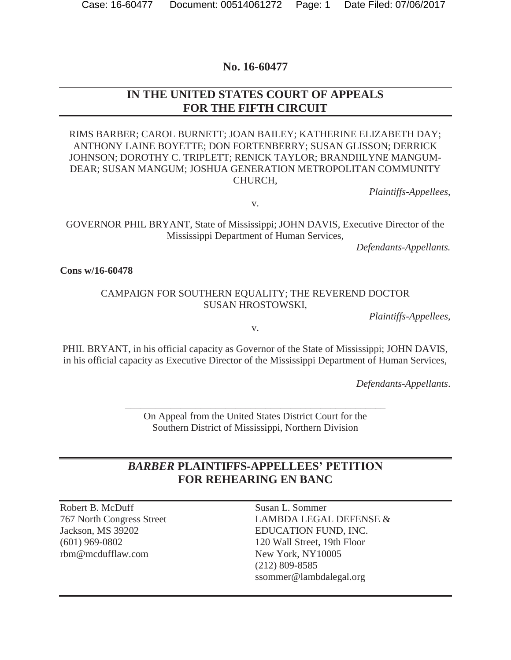#### **No. 16-60477**

### **IN THE UNITED STATES COURT OF APPEALS FOR THE FIFTH CIRCUIT**

RIMS BARBER; CAROL BURNETT; JOAN BAILEY; KATHERINE ELIZABETH DAY; ANTHONY LAINE BOYETTE; DON FORTENBERRY; SUSAN GLISSON; DERRICK JOHNSON; DOROTHY C. TRIPLETT; RENICK TAYLOR; BRANDIILYNE MANGUM-DEAR; SUSAN MANGUM; JOSHUA GENERATION METROPOLITAN COMMUNITY CHURCH,

*Plaintiffs-Appellees*,

v.

GOVERNOR PHIL BRYANT, State of Mississippi; JOHN DAVIS, Executive Director of the Mississippi Department of Human Services,

*Defendants-Appellants.* 

**Cons w/16-60478**

#### CAMPAIGN FOR SOUTHERN EQUALITY; THE REVEREND DOCTOR SUSAN HROSTOWSKI,

*Plaintiffs-Appellees*,

v.

PHIL BRYANT, in his official capacity as Governor of the State of Mississippi; JOHN DAVIS, in his official capacity as Executive Director of the Mississippi Department of Human Services,

*Defendants-Appellants*.

On Appeal from the United States District Court for the Southern District of Mississippi, Northern Division

\_\_\_\_\_\_\_\_\_\_\_\_\_\_\_\_\_\_\_\_\_\_\_\_\_\_\_\_\_\_\_\_\_\_\_\_\_\_\_\_\_\_\_\_\_\_\_\_\_\_\_\_

### *BARBER* **PLAINTIFFS-APPELLEES' PETITION FOR REHEARING EN BANC**

Robert B. McDuff 767 North Congress Street Jackson, MS 39202 (601) 969-0802 rbm@mcdufflaw.com

Susan L. Sommer LAMBDA LEGAL DEFENSE & EDUCATION FUND, INC. 120 Wall Street, 19th Floor New York, NY10005 (212) 809-8585 ssommer@lambdalegal.org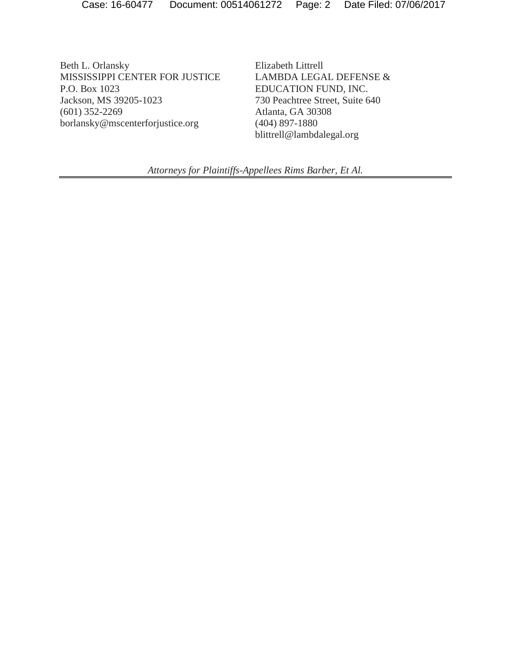Beth L. Orlansky MISSISSIPPI CENTER FOR JUSTICE P.O. Box 1023 Jackson, MS 39205-1023 (601) 352-2269 borlansky@mscenterforjustice.org

Elizabeth Littrell LAMBDA LEGAL DEFENSE & EDUCATION FUND, INC. 730 Peachtree Street, Suite 640 Atlanta, GA 30308 (404) 897-1880 blittrell@lambdalegal.org

*Attorneys for Plaintiffs-Appellees Rims Barber, Et Al.*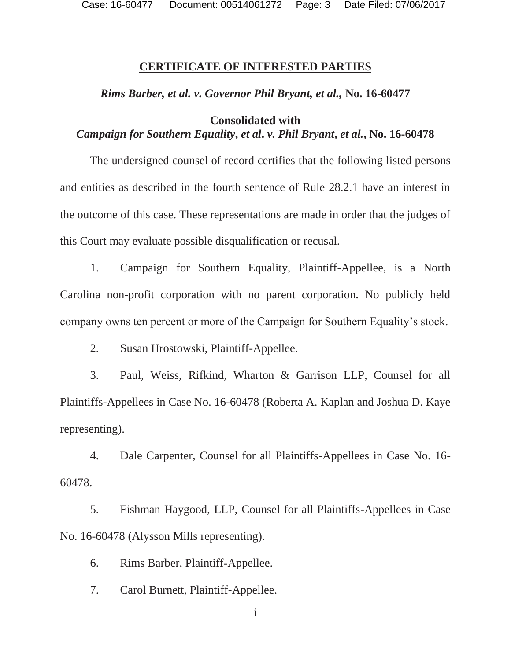Case: 16-60477 Document: 00514061272 Page: 3 Date Filed: 07/06/2017

#### **CERTIFICATE OF INTERESTED PARTIES**

#### *Rims Barber, et al. v. Governor Phil Bryant, et al.,* **No. 16-60477**

### **Consolidated with**  *Campaign for Southern Equality***,** *et al***.** *v. Phil Bryant***,** *et al.***, No. 16-60478**

The undersigned counsel of record certifies that the following listed persons and entities as described in the fourth sentence of Rule 28.2.1 have an interest in the outcome of this case. These representations are made in order that the judges of this Court may evaluate possible disqualification or recusal.

1. Campaign for Southern Equality, Plaintiff-Appellee, is a North Carolina non-profit corporation with no parent corporation. No publicly held company owns ten percent or more of the Campaign for Southern Equality's stock.

2. Susan Hrostowski, Plaintiff-Appellee.

3. Paul, Weiss, Rifkind, Wharton & Garrison LLP, Counsel for all Plaintiffs-Appellees in Case No. 16-60478 (Roberta A. Kaplan and Joshua D. Kaye representing).

4. Dale Carpenter, Counsel for all Plaintiffs-Appellees in Case No. 16- 60478.

5. Fishman Haygood, LLP, Counsel for all Plaintiffs-Appellees in Case No. 16-60478 (Alysson Mills representing).

6. Rims Barber, Plaintiff-Appellee.

7. Carol Burnett, Plaintiff-Appellee.

i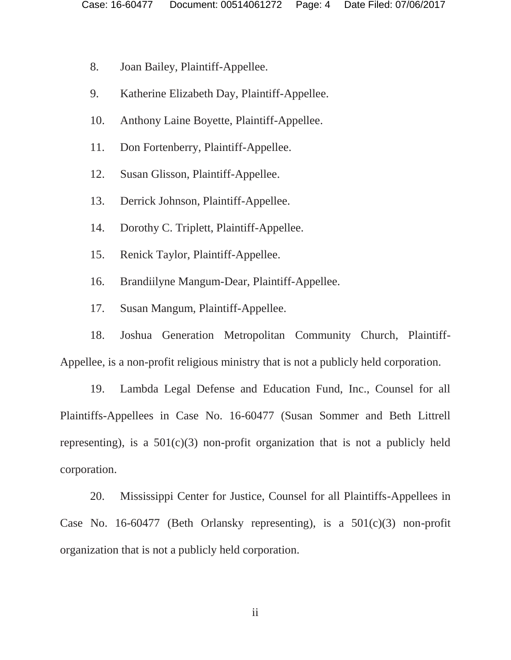- 8. Joan Bailey, Plaintiff-Appellee.
- 9. Katherine Elizabeth Day, Plaintiff-Appellee.
- 10. Anthony Laine Boyette, Plaintiff-Appellee.
- 11. Don Fortenberry, Plaintiff-Appellee.
- 12. Susan Glisson, Plaintiff-Appellee.
- 13. Derrick Johnson, Plaintiff-Appellee.
- 14. Dorothy C. Triplett, Plaintiff-Appellee.
- 15. Renick Taylor, Plaintiff-Appellee.
- 16. Brandiilyne Mangum-Dear, Plaintiff-Appellee.
- 17. Susan Mangum, Plaintiff-Appellee.

18. Joshua Generation Metropolitan Community Church, Plaintiff-Appellee, is a non-profit religious ministry that is not a publicly held corporation.

19. Lambda Legal Defense and Education Fund, Inc., Counsel for all Plaintiffs-Appellees in Case No. 16-60477 (Susan Sommer and Beth Littrell representing), is a  $501(c)(3)$  non-profit organization that is not a publicly held corporation.

20. Mississippi Center for Justice, Counsel for all Plaintiffs-Appellees in Case No. 16-60477 (Beth Orlansky representing), is a  $501(c)(3)$  non-profit organization that is not a publicly held corporation.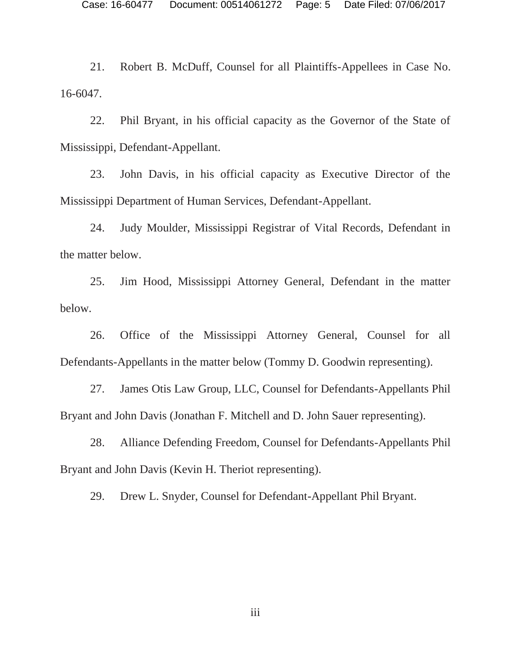21. Robert B. McDuff, Counsel for all Plaintiffs-Appellees in Case No. 16-6047.

22. Phil Bryant, in his official capacity as the Governor of the State of Mississippi, Defendant-Appellant.

23. John Davis, in his official capacity as Executive Director of the Mississippi Department of Human Services, Defendant-Appellant.

24. Judy Moulder, Mississippi Registrar of Vital Records, Defendant in the matter below.

25. Jim Hood, Mississippi Attorney General, Defendant in the matter below.

26. Office of the Mississippi Attorney General, Counsel for all Defendants-Appellants in the matter below (Tommy D. Goodwin representing).

27. James Otis Law Group, LLC, Counsel for Defendants-Appellants Phil Bryant and John Davis (Jonathan F. Mitchell and D. John Sauer representing).

28. Alliance Defending Freedom, Counsel for Defendants-Appellants Phil Bryant and John Davis (Kevin H. Theriot representing).

29. Drew L. Snyder, Counsel for Defendant-Appellant Phil Bryant.

iii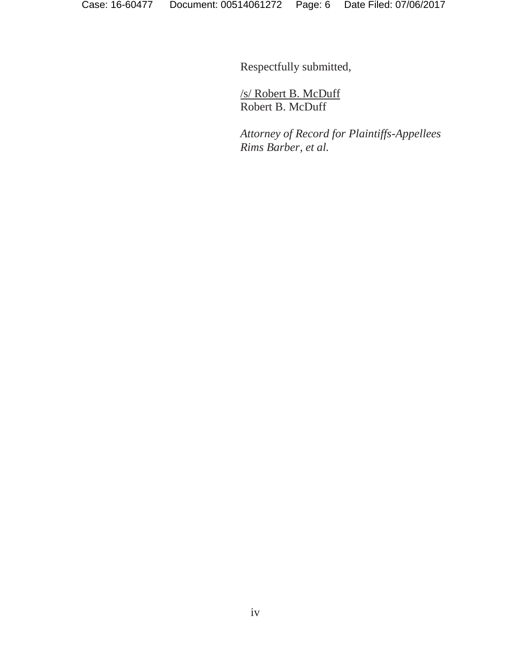Respectfully submitted,

/s/ Robert B. McDuff Robert B. McDuff

*Attorney of Record for Plaintiffs-Appellees Rims Barber, et al.*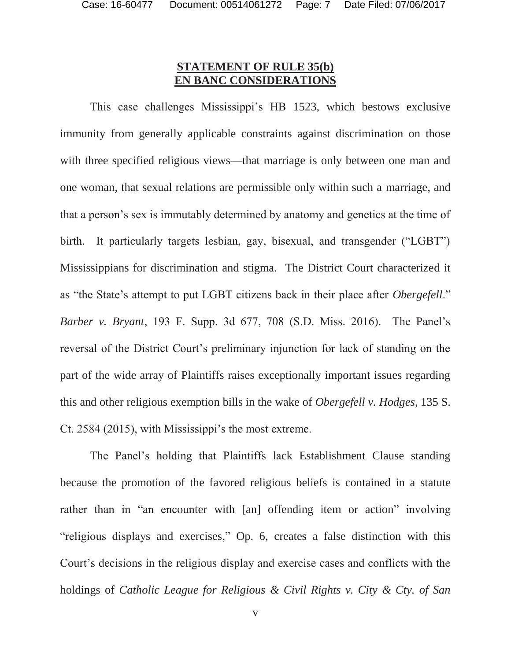### **STATEMENT OF RULE 35(b) EN BANC CONSIDERATIONS**

This case challenges Mississippi's HB 1523, which bestows exclusive immunity from generally applicable constraints against discrimination on those with three specified religious views—that marriage is only between one man and one woman, that sexual relations are permissible only within such a marriage, and that a person's sex is immutably determined by anatomy and genetics at the time of birth. It particularly targets lesbian, gay, bisexual, and transgender ("LGBT") Mississippians for discrimination and stigma. The District Court characterized it as "the State's attempt to put LGBT citizens back in their place after *Obergefell*." *Barber v. Bryant*, 193 F. Supp. 3d 677, 708 (S.D. Miss. 2016). The Panel's reversal of the District Court's preliminary injunction for lack of standing on the part of the wide array of Plaintiffs raises exceptionally important issues regarding this and other religious exemption bills in the wake of *Obergefell v. Hodges*, 135 S. Ct. 2584 (2015), with Mississippi's the most extreme.

The Panel's holding that Plaintiffs lack Establishment Clause standing because the promotion of the favored religious beliefs is contained in a statute rather than in "an encounter with [an] offending item or action" involving "religious displays and exercises," Op. 6, creates a false distinction with this Court's decisions in the religious display and exercise cases and conflicts with the holdings of *Catholic League for Religious & Civil Rights v. City & Cty. of San*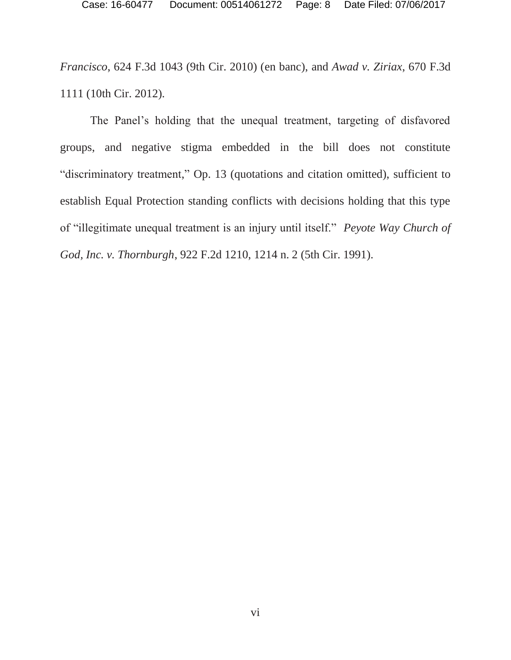*Francisco*, 624 F.3d 1043 (9th Cir. 2010) (en banc), and *Awad v. Ziriax*, 670 F.3d 1111 (10th Cir. 2012).

The Panel's holding that the unequal treatment, targeting of disfavored groups, and negative stigma embedded in the bill does not constitute "discriminatory treatment," Op. 13 (quotations and citation omitted), sufficient to establish Equal Protection standing conflicts with decisions holding that this type of "illegitimate unequal treatment is an injury until itself." *Peyote Way Church of God, Inc. v. Thornburgh*, 922 F.2d 1210, 1214 n. 2 (5th Cir. 1991).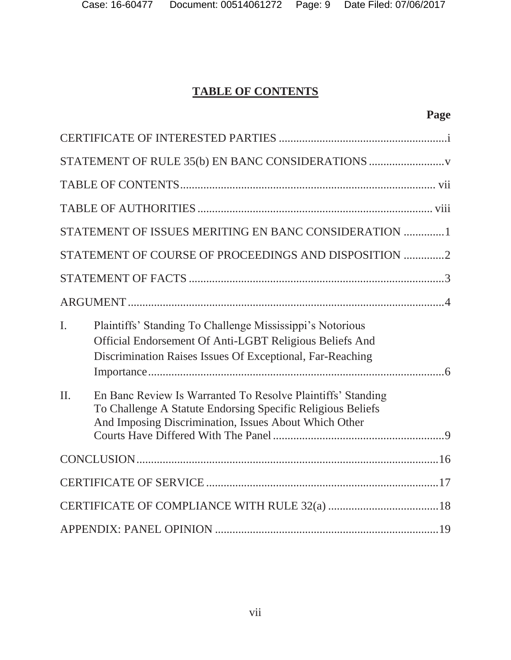# **TABLE OF CONTENTS**

| STATEMENT OF RULE 35(b) EN BANC CONSIDERATIONS       |                                                                                                                                                                                     |  |  |
|------------------------------------------------------|-------------------------------------------------------------------------------------------------------------------------------------------------------------------------------------|--|--|
|                                                      |                                                                                                                                                                                     |  |  |
|                                                      |                                                                                                                                                                                     |  |  |
|                                                      | STATEMENT OF ISSUES MERITING EN BANC CONSIDERATION 1                                                                                                                                |  |  |
| STATEMENT OF COURSE OF PROCEEDINGS AND DISPOSITION 2 |                                                                                                                                                                                     |  |  |
|                                                      |                                                                                                                                                                                     |  |  |
|                                                      |                                                                                                                                                                                     |  |  |
| $\mathbf{I}$ .                                       | Plaintiffs' Standing To Challenge Mississippi's Notorious<br>Official Endorsement Of Anti-LGBT Religious Beliefs And<br>Discrimination Raises Issues Of Exceptional, Far-Reaching   |  |  |
| $\Pi$ .                                              | En Banc Review Is Warranted To Resolve Plaintiffs' Standing<br>To Challenge A Statute Endorsing Specific Religious Beliefs<br>And Imposing Discrimination, Issues About Which Other |  |  |
|                                                      |                                                                                                                                                                                     |  |  |
|                                                      |                                                                                                                                                                                     |  |  |
|                                                      |                                                                                                                                                                                     |  |  |
|                                                      |                                                                                                                                                                                     |  |  |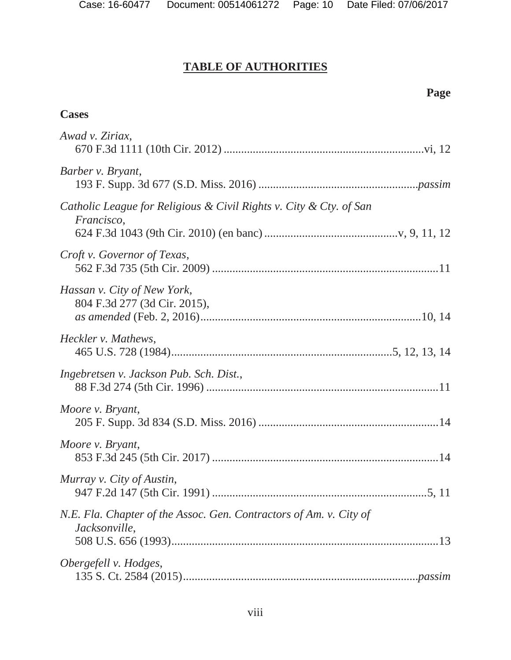# **TABLE OF AUTHORITIES**

# **Page**

# **Cases**

| Awad v. Ziriax,                                                                     |  |
|-------------------------------------------------------------------------------------|--|
| Barber v. Bryant,                                                                   |  |
| Catholic League for Religious & Civil Rights v. City & Cty. of San<br>Francisco,    |  |
| Croft v. Governor of Texas,                                                         |  |
| Hassan v. City of New York,<br>804 F.3d 277 (3d Cir. 2015),                         |  |
| Heckler v. Mathews,                                                                 |  |
| Ingebretsen v. Jackson Pub. Sch. Dist.,                                             |  |
| Moore v. Bryant,                                                                    |  |
| Moore v. Bryant,                                                                    |  |
| Murray v. City of Austin,                                                           |  |
| N.E. Fla. Chapter of the Assoc. Gen. Contractors of Am. v. City of<br>Jacksonville, |  |
| Obergefell v. Hodges,                                                               |  |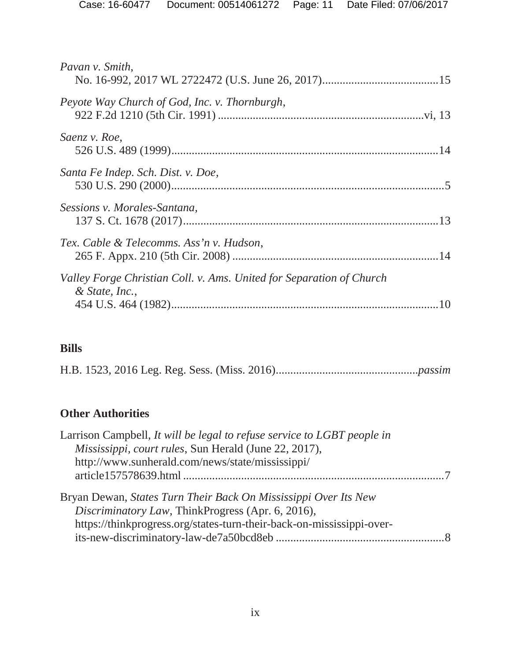| Pavan v. Smith,                                                                        |  |
|----------------------------------------------------------------------------------------|--|
| Peyote Way Church of God, Inc. v. Thornburgh,                                          |  |
| Saenz v. Roe,                                                                          |  |
| Santa Fe Indep. Sch. Dist. v. Doe,                                                     |  |
| Sessions v. Morales-Santana,                                                           |  |
| Tex. Cable & Telecomms. Ass'n v. Hudson,                                               |  |
| Valley Forge Christian Coll. v. Ams. United for Separation of Church<br>& State, Inc., |  |

# **Bills**

H.B. 1523, 2016 Leg. Reg. Sess. (Miss. 2016) .................................................*passim* 

# **Other Authorities**

| Larrison Campbell, It will be legal to refuse service to LGBT people in                                                                                                                       |  |
|-----------------------------------------------------------------------------------------------------------------------------------------------------------------------------------------------|--|
| Mississippi, court rules, Sun Herald (June 22, 2017),                                                                                                                                         |  |
| http://www.sunherald.com/news/state/mississippi/                                                                                                                                              |  |
|                                                                                                                                                                                               |  |
| Bryan Dewan, States Turn Their Back On Mississippi Over Its New<br>Discriminatory Law, ThinkProgress (Apr. 6, 2016),<br>https://thinkprogress.org/states-turn-their-back-on-mississippi-over- |  |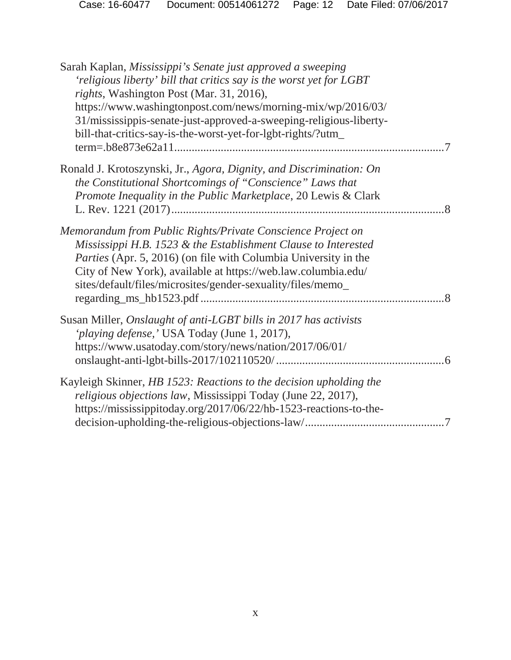| Sarah Kaplan, Mississippi's Senate just approved a sweeping<br>'religious liberty' bill that critics say is the worst yet for LGBT<br>rights, Washington Post (Mar. 31, 2016),<br>https://www.washingtonpost.com/news/morning-mix/wp/2016/03/<br>31/mississippis-senate-just-approved-a-sweeping-religious-liberty-<br>bill-that-critics-say-is-the-worst-yet-for-lgbt-rights/?utm_ |
|-------------------------------------------------------------------------------------------------------------------------------------------------------------------------------------------------------------------------------------------------------------------------------------------------------------------------------------------------------------------------------------|
| Ronald J. Krotoszynski, Jr., Agora, Dignity, and Discrimination: On<br>the Constitutional Shortcomings of "Conscience" Laws that<br>Promote Inequality in the Public Marketplace, 20 Lewis & Clark                                                                                                                                                                                  |
| Memorandum from Public Rights/Private Conscience Project on<br>Mississippi H.B. 1523 & the Establishment Clause to Interested<br><i>Parties</i> (Apr. 5, 2016) (on file with Columbia University in the<br>City of New York), available at https://web.law.columbia.edu/<br>sites/default/files/microsites/gender-sexuality/files/memo_                                             |
| Susan Miller, Onslaught of anti-LGBT bills in 2017 has activists<br>'playing defense,' USA Today (June 1, 2017),<br>https://www.usatoday.com/story/news/nation/2017/06/01/                                                                                                                                                                                                          |
| Kayleigh Skinner, HB 1523: Reactions to the decision upholding the<br>religious objections law, Mississippi Today (June 22, 2017),<br>https://mississippitoday.org/2017/06/22/hb-1523-reactions-to-the-                                                                                                                                                                             |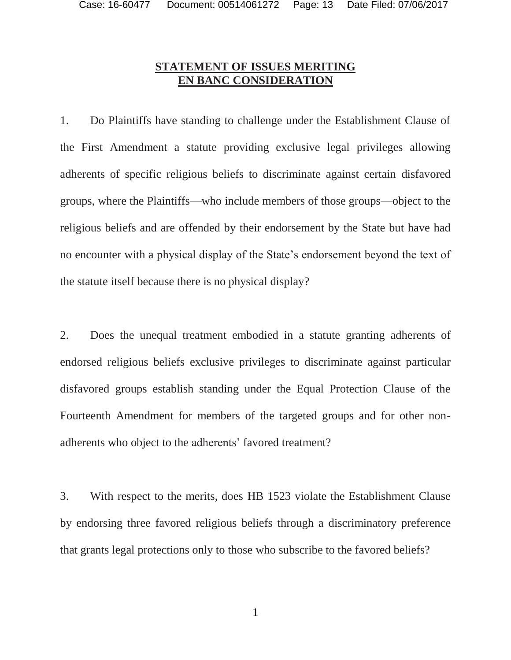#### **STATEMENT OF ISSUES MERITING EN BANC CONSIDERATION**

1. Do Plaintiffs have standing to challenge under the Establishment Clause of the First Amendment a statute providing exclusive legal privileges allowing adherents of specific religious beliefs to discriminate against certain disfavored groups, where the Plaintiffs—who include members of those groups—object to the religious beliefs and are offended by their endorsement by the State but have had no encounter with a physical display of the State's endorsement beyond the text of the statute itself because there is no physical display?

2. Does the unequal treatment embodied in a statute granting adherents of endorsed religious beliefs exclusive privileges to discriminate against particular disfavored groups establish standing under the Equal Protection Clause of the Fourteenth Amendment for members of the targeted groups and for other nonadherents who object to the adherents' favored treatment?

3. With respect to the merits, does HB 1523 violate the Establishment Clause by endorsing three favored religious beliefs through a discriminatory preference that grants legal protections only to those who subscribe to the favored beliefs?

1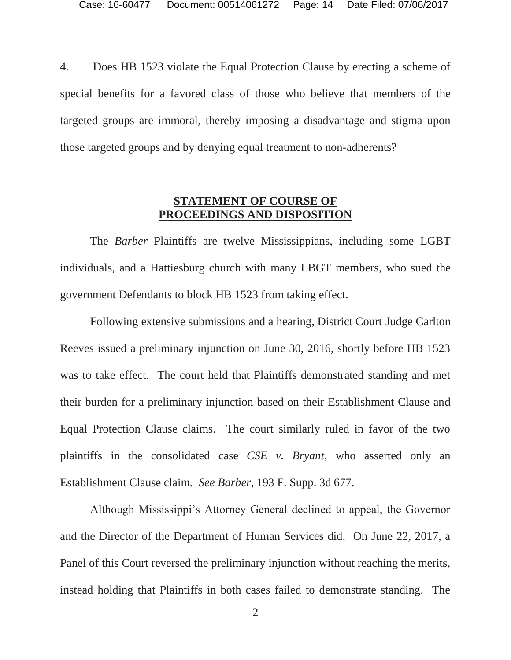4. Does HB 1523 violate the Equal Protection Clause by erecting a scheme of special benefits for a favored class of those who believe that members of the targeted groups are immoral, thereby imposing a disadvantage and stigma upon those targeted groups and by denying equal treatment to non-adherents?

#### **STATEMENT OF COURSE OF PROCEEDINGS AND DISPOSITION**

 The *Barber* Plaintiffs are twelve Mississippians, including some LGBT individuals, and a Hattiesburg church with many LBGT members, who sued the government Defendants to block HB 1523 from taking effect.

 Following extensive submissions and a hearing, District Court Judge Carlton Reeves issued a preliminary injunction on June 30, 2016, shortly before HB 1523 was to take effect. The court held that Plaintiffs demonstrated standing and met their burden for a preliminary injunction based on their Establishment Clause and Equal Protection Clause claims. The court similarly ruled in favor of the two plaintiffs in the consolidated case *CSE v. Bryant*, who asserted only an Establishment Clause claim. *See Barber*, 193 F. Supp. 3d 677.

Although Mississippi's Attorney General declined to appeal, the Governor and the Director of the Department of Human Services did. On June 22, 2017, a Panel of this Court reversed the preliminary injunction without reaching the merits, instead holding that Plaintiffs in both cases failed to demonstrate standing. The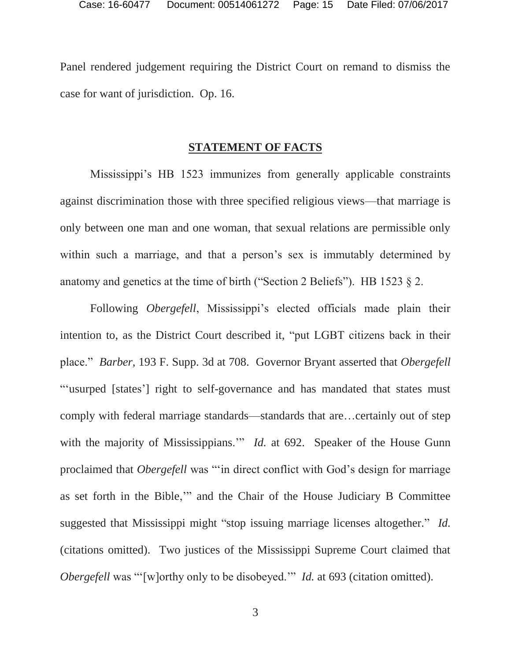Panel rendered judgement requiring the District Court on remand to dismiss the case for want of jurisdiction. Op. 16.

#### **STATEMENT OF FACTS**

Mississippi's HB 1523 immunizes from generally applicable constraints against discrimination those with three specified religious views—that marriage is only between one man and one woman, that sexual relations are permissible only within such a marriage, and that a person's sex is immutably determined by anatomy and genetics at the time of birth ("Section 2 Beliefs"). HB 1523  $\S$  2.

 Following *Obergefell*, Mississippi's elected officials made plain their intention to, as the District Court described it, "put LGBT citizens back in their place." *Barber*, 193 F. Supp. 3d at 708. Governor Bryant asserted that *Obergefell* "'usurped [states'] right to self-governance and has mandated that states must comply with federal marriage standards—standards that are…certainly out of step with the majority of Mississippians." *Id.* at 692. Speaker of the House Gunn proclaimed that *Obergefell* was "'in direct conflict with God's design for marriage as set forth in the Bible,'" and the Chair of the House Judiciary B Committee suggested that Mississippi might "stop issuing marriage licenses altogether." *Id.*  (citations omitted). Two justices of the Mississippi Supreme Court claimed that *Obergefell* was "'[w]orthy only to be disobeyed." *Id.* at 693 (citation omitted).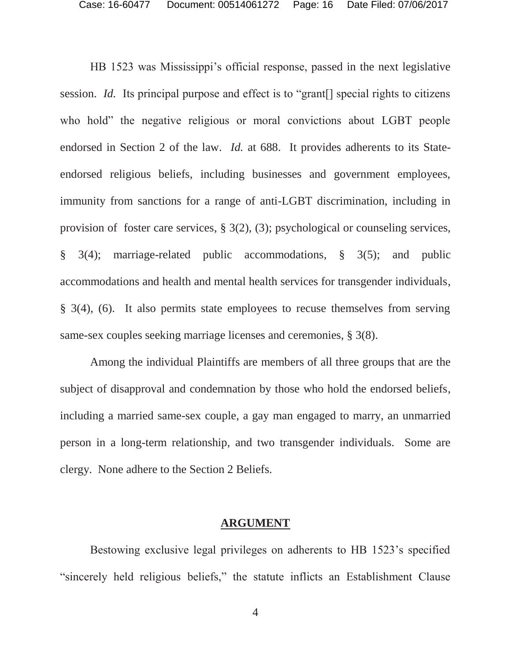HB 1523 was Mississippi's official response, passed in the next legislative session. *Id.* Its principal purpose and effect is to "grant[] special rights to citizens who hold" the negative religious or moral convictions about LGBT people endorsed in Section 2 of the law. *Id.* at 688. It provides adherents to its Stateendorsed religious beliefs, including businesses and government employees, immunity from sanctions for a range of anti-LGBT discrimination, including in provision of foster care services, § 3(2), (3); psychological or counseling services, § 3(4); marriage-related public accommodations, § 3(5); and public accommodations and health and mental health services for transgender individuals, § 3(4), (6). It also permits state employees to recuse themselves from serving same-sex couples seeking marriage licenses and ceremonies, § 3(8).

 Among the individual Plaintiffs are members of all three groups that are the subject of disapproval and condemnation by those who hold the endorsed beliefs, including a married same-sex couple, a gay man engaged to marry, an unmarried person in a long-term relationship, and two transgender individuals. Some are clergy. None adhere to the Section 2 Beliefs.

#### **ARGUMENT**

Bestowing exclusive legal privileges on adherents to HB 1523's specified "sincerely held religious beliefs," the statute inflicts an Establishment Clause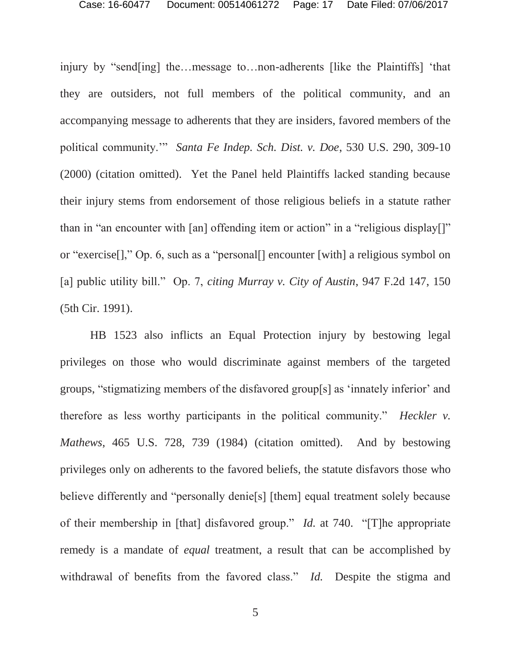injury by "send[ing] the…message to…non-adherents [like the Plaintiffs] 'that they are outsiders, not full members of the political community, and an accompanying message to adherents that they are insiders, favored members of the political community.'" *Santa Fe Indep. Sch. Dist. v. Doe*, 530 U.S. 290, 309-10 (2000) (citation omitted). Yet the Panel held Plaintiffs lacked standing because their injury stems from endorsement of those religious beliefs in a statute rather than in "an encounter with [an] offending item or action" in a "religious display[]" or "exercise[]," Op. 6, such as a "personal[] encounter [with] a religious symbol on [a] public utility bill." Op. 7, *citing Murray v. City of Austin*, 947 F.2d 147, 150 (5th Cir. 1991).

 HB 1523 also inflicts an Equal Protection injury by bestowing legal privileges on those who would discriminate against members of the targeted groups, "stigmatizing members of the disfavored group[s] as 'innately inferior' and therefore as less worthy participants in the political community." *Heckler v. Mathews*, 465 U.S. 728, 739 (1984) (citation omitted). And by bestowing privileges only on adherents to the favored beliefs, the statute disfavors those who believe differently and "personally denie[s] [them] equal treatment solely because of their membership in [that] disfavored group." *Id.* at 740. "[T]he appropriate remedy is a mandate of *equal* treatment, a result that can be accomplished by withdrawal of benefits from the favored class." *Id.* Despite the stigma and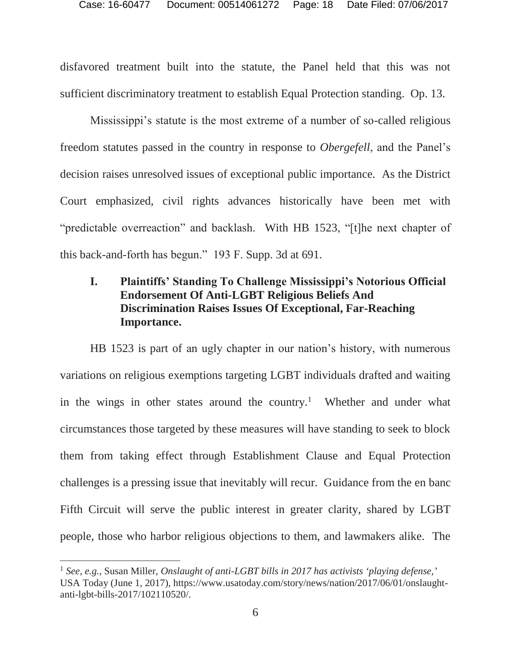disfavored treatment built into the statute, the Panel held that this was not sufficient discriminatory treatment to establish Equal Protection standing. Op. 13.

Mississippi's statute is the most extreme of a number of so-called religious freedom statutes passed in the country in response to *Obergefell*, and the Panel's decision raises unresolved issues of exceptional public importance. As the District Court emphasized, civil rights advances historically have been met with "predictable overreaction" and backlash. With HB 1523, "[t]he next chapter of this back-and-forth has begun." 193 F. Supp. 3d at 691.

## **I. Plaintiffs' Standing To Challenge Mississippi's Notorious Official Endorsement Of Anti-LGBT Religious Beliefs And Discrimination Raises Issues Of Exceptional, Far-Reaching Importance.**

 HB 1523 is part of an ugly chapter in our nation's history, with numerous variations on religious exemptions targeting LGBT individuals drafted and waiting in the wings in other states around the country.<sup>1</sup> Whether and under what circumstances those targeted by these measures will have standing to seek to block them from taking effect through Establishment Clause and Equal Protection challenges is a pressing issue that inevitably will recur. Guidance from the en banc Fifth Circuit will serve the public interest in greater clarity, shared by LGBT people, those who harbor religious objections to them, and lawmakers alike. The

 $\overline{a}$ 

<sup>1</sup> *See, e.g.*, Susan Miller, *Onslaught of anti-LGBT bills in 2017 has activists 'playing defense,'* USA Today (June 1, 2017), https://www.usatoday.com/story/news/nation/2017/06/01/onslaughtanti-lgbt-bills-2017/102110520/.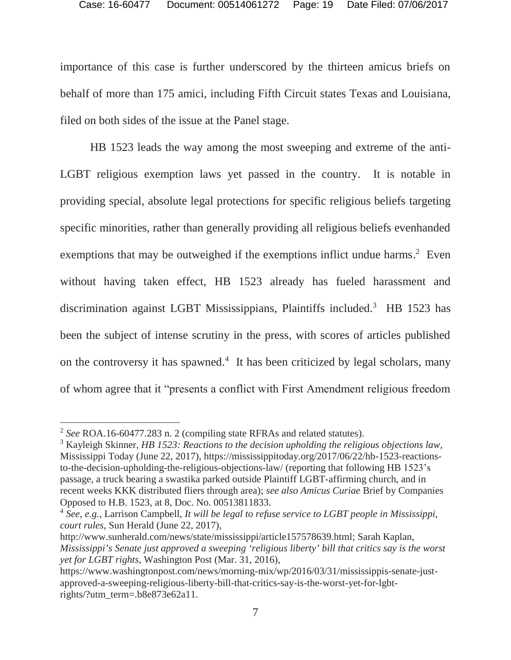importance of this case is further underscored by the thirteen amicus briefs on behalf of more than 175 amici, including Fifth Circuit states Texas and Louisiana, filed on both sides of the issue at the Panel stage.

 HB 1523 leads the way among the most sweeping and extreme of the anti-LGBT religious exemption laws yet passed in the country. It is notable in providing special, absolute legal protections for specific religious beliefs targeting specific minorities, rather than generally providing all religious beliefs evenhanded exemptions that may be outweighed if the exemptions inflict undue harms.<sup>2</sup> Even without having taken effect, HB 1523 already has fueled harassment and discrimination against LGBT Mississippians, Plaintiffs included.<sup>3</sup> HB 1523 has been the subject of intense scrutiny in the press, with scores of articles published on the controversy it has spawned.<sup>4</sup> It has been criticized by legal scholars, many of whom agree that it "presents a conflict with First Amendment religious freedom

 $\overline{a}$ 

<sup>2</sup> *See* ROA.16-60477.283 n. 2 (compiling state RFRAs and related statutes).

<sup>3</sup> Kayleigh Skinner, *HB 1523: Reactions to the decision upholding the religious objections law*, Mississippi Today (June 22, 2017), https://mississippitoday.org/2017/06/22/hb-1523-reactionsto-the-decision-upholding-the-religious-objections-law/ (reporting that following HB 1523's passage, a truck bearing a swastika parked outside Plaintiff LGBT-affirming church, and in recent weeks KKK distributed fliers through area); *see also Amicus Curiae* Brief by Companies Opposed to H.B. 1523, at 8, Doc. No. 00513811833.

<sup>4</sup> *See, e.g.*, Larrison Campbell, *It will be legal to refuse service to LGBT people in Mississippi, court rules*, Sun Herald (June 22, 2017),

http://www.sunherald.com/news/state/mississippi/article157578639.html; Sarah Kaplan, *Mississippi's Senate just approved a sweeping 'religious liberty' bill that critics say is the worst yet for LGBT rights*, Washington Post (Mar. 31, 2016),

https://www.washingtonpost.com/news/morning-mix/wp/2016/03/31/mississippis-senate-justapproved-a-sweeping-religious-liberty-bill-that-critics-say-is-the-worst-yet-for-lgbtrights/?utm\_term=.b8e873e62a11.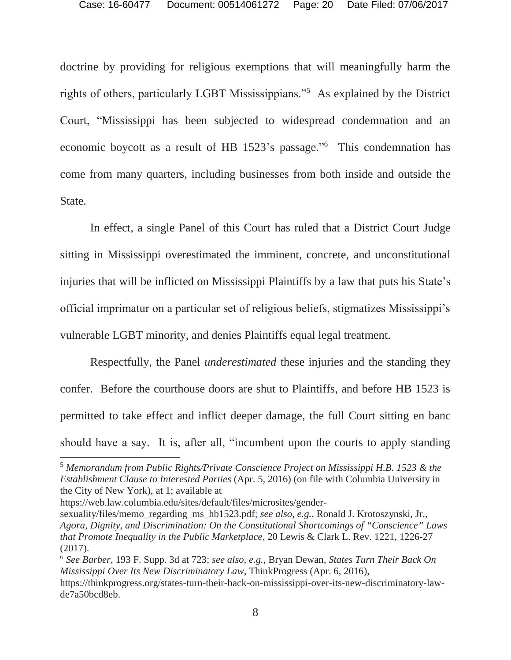doctrine by providing for religious exemptions that will meaningfully harm the rights of others, particularly LGBT Mississippians."<sup>5</sup> As explained by the District Court, "Mississippi has been subjected to widespread condemnation and an economic boycott as a result of HB 1523's passage."<sup>6</sup> This condemnation has come from many quarters, including businesses from both inside and outside the State.

 In effect, a single Panel of this Court has ruled that a District Court Judge sitting in Mississippi overestimated the imminent, concrete, and unconstitutional injuries that will be inflicted on Mississippi Plaintiffs by a law that puts his State's official imprimatur on a particular set of religious beliefs, stigmatizes Mississippi's vulnerable LGBT minority, and denies Plaintiffs equal legal treatment.

 Respectfully, the Panel *underestimated* these injuries and the standing they confer. Before the courthouse doors are shut to Plaintiffs, and before HB 1523 is permitted to take effect and inflict deeper damage, the full Court sitting en banc should have a say. It is, after all, "incumbent upon the courts to apply standing

 $\overline{a}$ 

de7a50bcd8eb.

<sup>5</sup> *Memorandum from Public Rights/Private Conscience Project on Mississippi H.B. 1523 & the Establishment Clause to Interested Parties* (Apr. 5, 2016) (on file with Columbia University in the City of New York), at 1; available at

https://web.law.columbia.edu/sites/default/files/microsites/gender-

sexuality/files/memo\_regarding\_ms\_hb1523.pdf; *see also, e.g.*, Ronald J. Krotoszynski, Jr., *Agora, Dignity, and Discrimination: On the Constitutional Shortcomings of "Conscience" Laws that Promote Inequality in the Public Marketplace*, 20 Lewis & Clark L. Rev. 1221, 1226-27 (2017).

<sup>6</sup> *See Barber*, 193 F. Supp. 3d at 723; *see also, e.g.*, Bryan Dewan, *States Turn Their Back On Mississippi Over Its New Discriminatory Law*, ThinkProgress (Apr. 6, 2016), https://thinkprogress.org/states-turn-their-back-on-mississippi-over-its-new-discriminatory-law-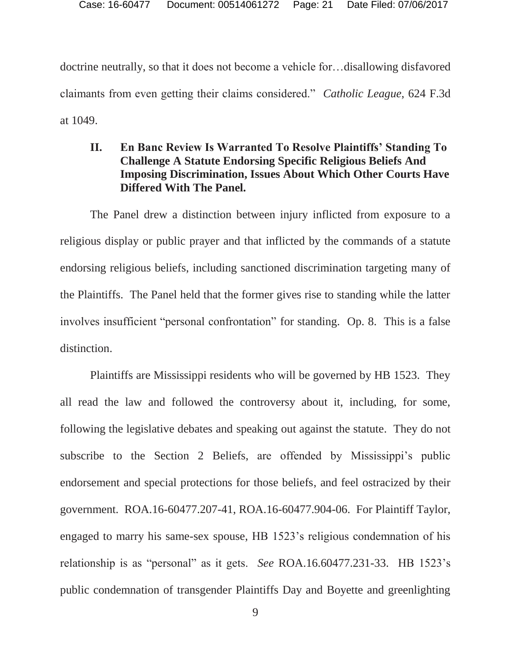doctrine neutrally, so that it does not become a vehicle for…disallowing disfavored claimants from even getting their claims considered." *Catholic League*, 624 F.3d at 1049.

### **II. En Banc Review Is Warranted To Resolve Plaintiffs' Standing To Challenge A Statute Endorsing Specific Religious Beliefs And Imposing Discrimination, Issues About Which Other Courts Have Differed With The Panel.**

 The Panel drew a distinction between injury inflicted from exposure to a religious display or public prayer and that inflicted by the commands of a statute endorsing religious beliefs, including sanctioned discrimination targeting many of the Plaintiffs. The Panel held that the former gives rise to standing while the latter involves insufficient "personal confrontation" for standing. Op. 8. This is a false distinction.

 Plaintiffs are Mississippi residents who will be governed by HB 1523. They all read the law and followed the controversy about it, including, for some, following the legislative debates and speaking out against the statute. They do not subscribe to the Section 2 Beliefs, are offended by Mississippi's public endorsement and special protections for those beliefs, and feel ostracized by their government. ROA.16-60477.207-41, ROA.16-60477.904-06. For Plaintiff Taylor, engaged to marry his same-sex spouse, HB 1523's religious condemnation of his relationship is as "personal" as it gets. *See* ROA.16.60477.231-33. HB 1523's public condemnation of transgender Plaintiffs Day and Boyette and greenlighting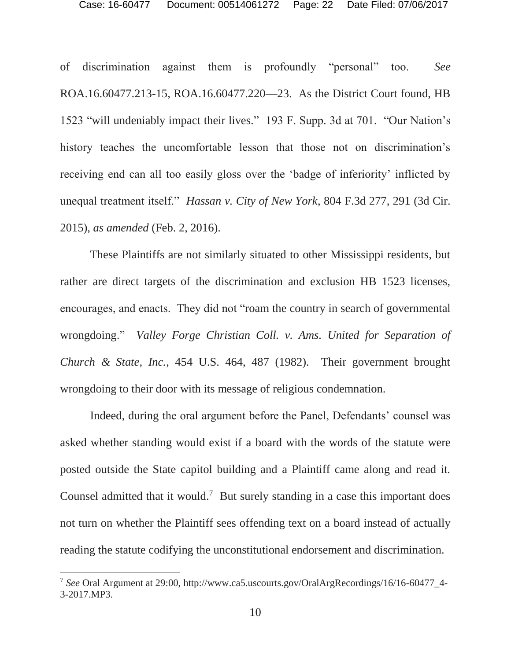of discrimination against them is profoundly "personal" too. *See*  ROA.16.60477.213-15, ROA.16.60477.220—23. As the District Court found, HB 1523 "will undeniably impact their lives." 193 F. Supp. 3d at 701. "Our Nation's history teaches the uncomfortable lesson that those not on discrimination's receiving end can all too easily gloss over the 'badge of inferiority' inflicted by unequal treatment itself." *Hassan v. City of New York*, 804 F.3d 277, 291 (3d Cir. 2015), *as amended* (Feb. 2, 2016).

 These Plaintiffs are not similarly situated to other Mississippi residents, but rather are direct targets of the discrimination and exclusion HB 1523 licenses, encourages, and enacts. They did not "roam the country in search of governmental wrongdoing." *Valley Forge Christian Coll. v. Ams. United for Separation of Church & State, Inc.*, 454 U.S. 464, 487 (1982). Their government brought wrongdoing to their door with its message of religious condemnation.

 Indeed, during the oral argument before the Panel, Defendants' counsel was asked whether standing would exist if a board with the words of the statute were posted outside the State capitol building and a Plaintiff came along and read it. Counsel admitted that it would.<sup>7</sup> But surely standing in a case this important does not turn on whether the Plaintiff sees offending text on a board instead of actually reading the statute codifying the unconstitutional endorsement and discrimination.

 $\overline{a}$ 

<sup>7</sup> *See* Oral Argument at 29:00, http://www.ca5.uscourts.gov/OralArgRecordings/16/16-60477\_4- 3-2017.MP3.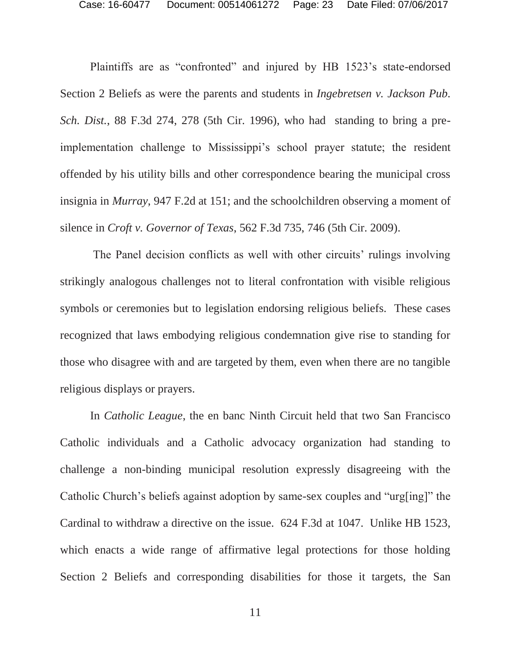Plaintiffs are as "confronted" and injured by HB 1523's state-endorsed Section 2 Beliefs as were the parents and students in *Ingebretsen v. Jackson Pub. Sch. Dist.*, 88 F.3d 274, 278 (5th Cir. 1996), who had standing to bring a preimplementation challenge to Mississippi's school prayer statute; the resident offended by his utility bills and other correspondence bearing the municipal cross insignia in *Murray*, 947 F.2d at 151; and the schoolchildren observing a moment of silence in *Croft v. Governor of Texas*, 562 F.3d 735, 746 (5th Cir. 2009).

 The Panel decision conflicts as well with other circuits' rulings involving strikingly analogous challenges not to literal confrontation with visible religious symbols or ceremonies but to legislation endorsing religious beliefs. These cases recognized that laws embodying religious condemnation give rise to standing for those who disagree with and are targeted by them, even when there are no tangible religious displays or prayers.

 In *Catholic League*, the en banc Ninth Circuit held that two San Francisco Catholic individuals and a Catholic advocacy organization had standing to challenge a non-binding municipal resolution expressly disagreeing with the Catholic Church's beliefs against adoption by same-sex couples and "urg[ing]" the Cardinal to withdraw a directive on the issue. 624 F.3d at 1047. Unlike HB 1523, which enacts a wide range of affirmative legal protections for those holding Section 2 Beliefs and corresponding disabilities for those it targets, the San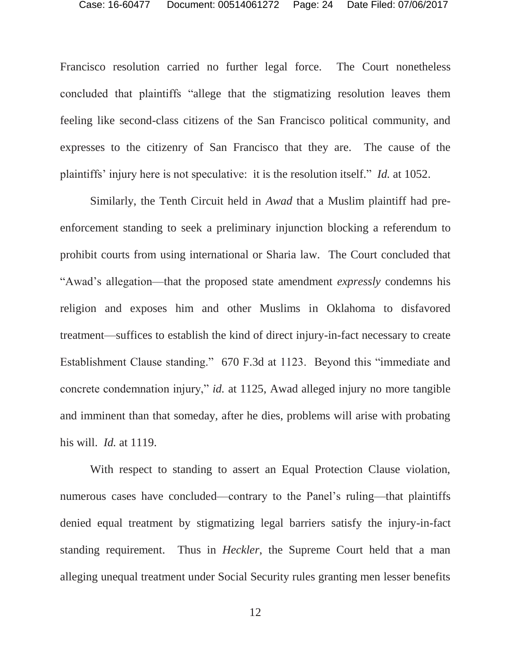Francisco resolution carried no further legal force. The Court nonetheless concluded that plaintiffs "allege that the stigmatizing resolution leaves them feeling like second-class citizens of the San Francisco political community, and expresses to the citizenry of San Francisco that they are. The cause of the plaintiffs' injury here is not speculative: it is the resolution itself." *Id.* at 1052.

 Similarly, the Tenth Circuit held in *Awad* that a Muslim plaintiff had preenforcement standing to seek a preliminary injunction blocking a referendum to prohibit courts from using international or Sharia law. The Court concluded that "Awad's allegation—that the proposed state amendment *expressly* condemns his religion and exposes him and other Muslims in Oklahoma to disfavored treatment—suffices to establish the kind of direct injury-in-fact necessary to create Establishment Clause standing." 670 F.3d at 1123. Beyond this "immediate and concrete condemnation injury," *id.* at 1125, Awad alleged injury no more tangible and imminent than that someday, after he dies, problems will arise with probating his will. *Id.* at 1119.

 With respect to standing to assert an Equal Protection Clause violation, numerous cases have concluded—contrary to the Panel's ruling—that plaintiffs denied equal treatment by stigmatizing legal barriers satisfy the injury-in-fact standing requirement. Thus in *Heckler*, the Supreme Court held that a man alleging unequal treatment under Social Security rules granting men lesser benefits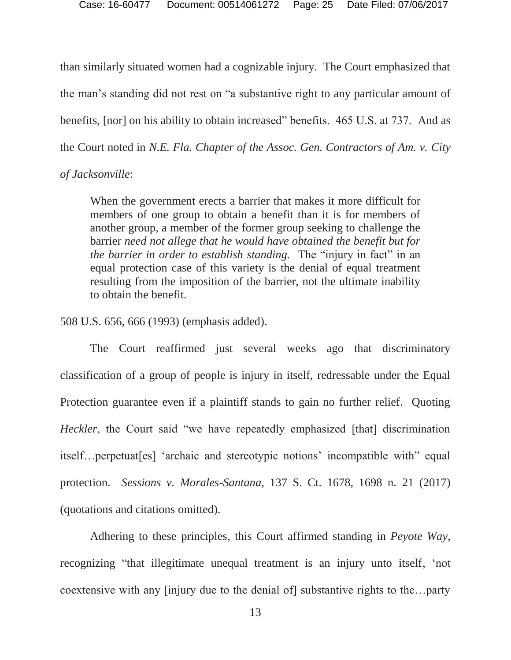than similarly situated women had a cognizable injury. The Court emphasized that the man's standing did not rest on "a substantive right to any particular amount of benefits, [nor] on his ability to obtain increased" benefits. 465 U.S. at 737. And as the Court noted in *N.E. Fla. Chapter of the Assoc. Gen. Contractors of Am. v. City* 

#### *of Jacksonville*:

When the government erects a barrier that makes it more difficult for members of one group to obtain a benefit than it is for members of another group, a member of the former group seeking to challenge the barrier *need not allege that he would have obtained the benefit but for the barrier in order to establish standing.* The "injury in fact" in an equal protection case of this variety is the denial of equal treatment resulting from the imposition of the barrier, not the ultimate inability to obtain the benefit.

508 U.S. 656, 666 (1993) (emphasis added).

 The Court reaffirmed just several weeks ago that discriminatory classification of a group of people is injury in itself, redressable under the Equal Protection guarantee even if a plaintiff stands to gain no further relief. Quoting *Heckler*, the Court said "we have repeatedly emphasized [that] discrimination itself…perpetuat[es] 'archaic and stereotypic notions' incompatible with" equal protection. *Sessions v. Morales-Santana*, 137 S. Ct. 1678, 1698 n. 21 (2017) (quotations and citations omitted).

 Adhering to these principles, this Court affirmed standing in *Peyote Way*, recognizing "that illegitimate unequal treatment is an injury unto itself, 'not coextensive with any [injury due to the denial of] substantive rights to the…party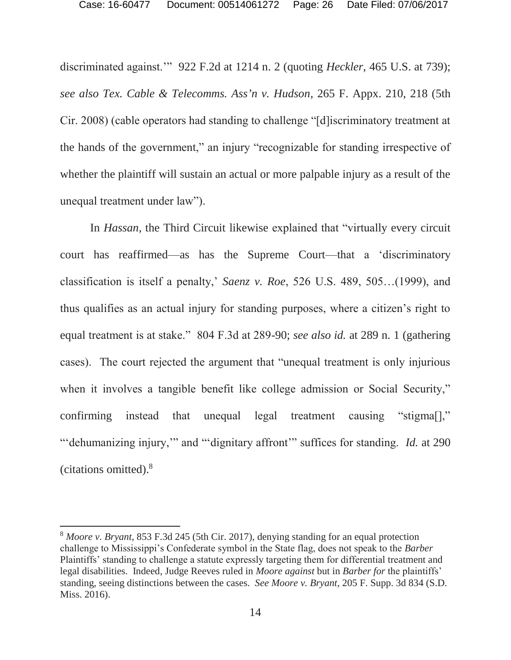discriminated against.'" 922 F.2d at 1214 n. 2 (quoting *Heckler*, 465 U.S. at 739); *see also Tex. Cable & Telecomms. Ass'n v. Hudson*, 265 F. Appx. 210, 218 (5th Cir. 2008) (cable operators had standing to challenge "[d]iscriminatory treatment at the hands of the government," an injury "recognizable for standing irrespective of whether the plaintiff will sustain an actual or more palpable injury as a result of the unequal treatment under law").

 In *Hassan*, the Third Circuit likewise explained that "virtually every circuit court has reaffirmed—as has the Supreme Court—that a 'discriminatory classification is itself a penalty,' *Saenz v. Roe*, 526 U.S. 489, 505…(1999), and thus qualifies as an actual injury for standing purposes, where a citizen's right to equal treatment is at stake." 804 F.3d at 289-90; *see also id.* at 289 n. 1 (gathering cases). The court rejected the argument that "unequal treatment is only injurious when it involves a tangible benefit like college admission or Social Security," confirming instead that unequal legal treatment causing "stigma[]," "'dehumanizing injury,'" and "'dignitary affront'" suffices for standing. *Id.* at 290 (citations omitted).8

 $\overline{a}$ 

<sup>8</sup> *Moore v. Bryant*, 853 F.3d 245 (5th Cir. 2017), denying standing for an equal protection challenge to Mississippi's Confederate symbol in the State flag, does not speak to the *Barber*  Plaintiffs' standing to challenge a statute expressly targeting them for differential treatment and legal disabilities. Indeed, Judge Reeves ruled in *Moore against* but in *Barber for* the plaintiffs' standing, seeing distinctions between the cases. *See Moore v. Bryant*, 205 F. Supp. 3d 834 (S.D. Miss. 2016).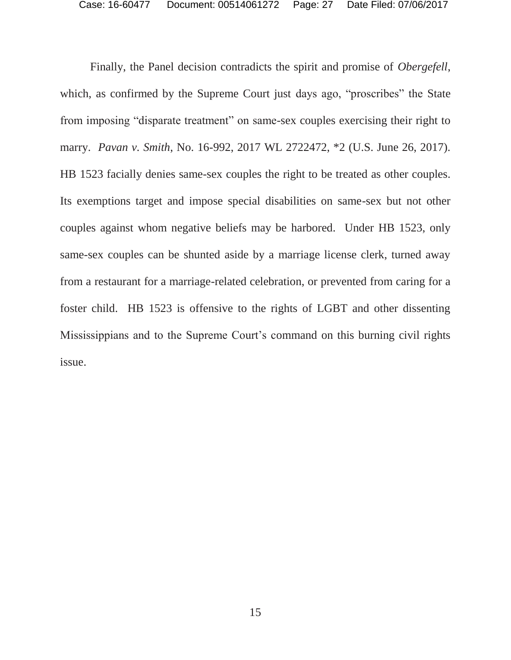Finally, the Panel decision contradicts the spirit and promise of *Obergefell*, which, as confirmed by the Supreme Court just days ago, "proscribes" the State from imposing "disparate treatment" on same-sex couples exercising their right to marry. *Pavan v. Smith*, No. 16-992, 2017 WL 2722472, \*2 (U.S. June 26, 2017). HB 1523 facially denies same-sex couples the right to be treated as other couples. Its exemptions target and impose special disabilities on same-sex but not other couples against whom negative beliefs may be harbored. Under HB 1523, only same-sex couples can be shunted aside by a marriage license clerk, turned away from a restaurant for a marriage-related celebration, or prevented from caring for a foster child. HB 1523 is offensive to the rights of LGBT and other dissenting Mississippians and to the Supreme Court's command on this burning civil rights issue.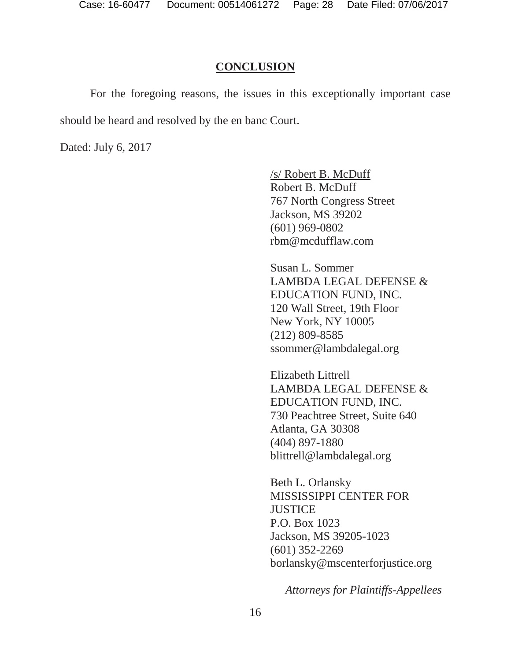#### **CONCLUSION**

 For the foregoing reasons, the issues in this exceptionally important case should be heard and resolved by the en banc Court.

Dated: July 6, 2017

/s/ Robert B. McDuff Robert B. McDuff 767 North Congress Street Jackson, MS 39202 (601) 969-0802 rbm@mcdufflaw.com

Susan L. Sommer LAMBDA LEGAL DEFENSE & EDUCATION FUND, INC. 120 Wall Street, 19th Floor New York, NY 10005 (212) 809-8585 ssommer@lambdalegal.org

Elizabeth Littrell LAMBDA LEGAL DEFENSE & EDUCATION FUND, INC. 730 Peachtree Street, Suite 640 Atlanta, GA 30308 (404) 897-1880 blittrell@lambdalegal.org

Beth L. Orlansky MISSISSIPPI CENTER FOR **JUSTICE** P.O. Box 1023 Jackson, MS 39205-1023 (601) 352-2269 borlansky@mscenterforjustice.org

*Attorneys for Plaintiffs-Appellees*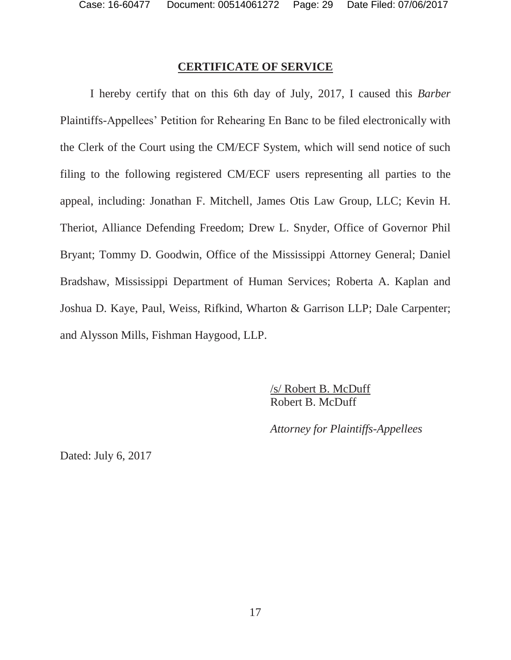#### **CERTIFICATE OF SERVICE**

I hereby certify that on this 6th day of July, 2017, I caused this *Barber* Plaintiffs-Appellees' Petition for Rehearing En Banc to be filed electronically with the Clerk of the Court using the CM/ECF System, which will send notice of such filing to the following registered CM/ECF users representing all parties to the appeal, including: Jonathan F. Mitchell, James Otis Law Group, LLC; Kevin H. Theriot, Alliance Defending Freedom; Drew L. Snyder, Office of Governor Phil Bryant; Tommy D. Goodwin, Office of the Mississippi Attorney General; Daniel Bradshaw, Mississippi Department of Human Services; Roberta A. Kaplan and Joshua D. Kaye, Paul, Weiss, Rifkind, Wharton & Garrison LLP; Dale Carpenter; and Alysson Mills, Fishman Haygood, LLP.

> /s/ Robert B. McDuff Robert B. McDuff

*Attorney for Plaintiffs-Appellees* 

Dated: July 6, 2017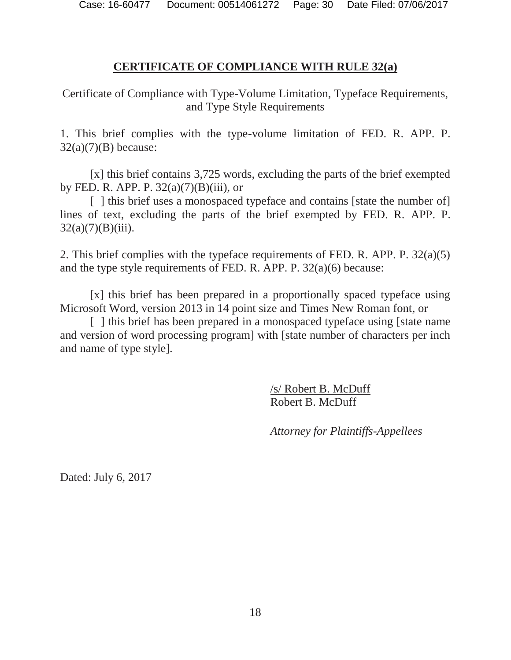#### **CERTIFICATE OF COMPLIANCE WITH RULE 32(a)**

Certificate of Compliance with Type-Volume Limitation, Typeface Requirements, and Type Style Requirements

1. This brief complies with the type-volume limitation of FED. R. APP. P.  $32(a)(7)(B)$  because:

[x] this brief contains 3,725 words, excluding the parts of the brief exempted by FED. R. APP. P.  $32(a)(7)(B)(iii)$ , or

[ ] this brief uses a monospaced typeface and contains [state the number of] lines of text, excluding the parts of the brief exempted by FED. R. APP. P.  $32(a)(7)(B)(iii)$ .

2. This brief complies with the typeface requirements of FED. R. APP. P. 32(a)(5) and the type style requirements of FED. R. APP. P. 32(a)(6) because:

[x] this brief has been prepared in a proportionally spaced typeface using Microsoft Word, version 2013 in 14 point size and Times New Roman font, or

[ ] this brief has been prepared in a monospaced typeface using [state name] and version of word processing program] with [state number of characters per inch and name of type style].

> /s/ Robert B. McDuff Robert B. McDuff

*Attorney for Plaintiffs-Appellees* 

Dated: July 6, 2017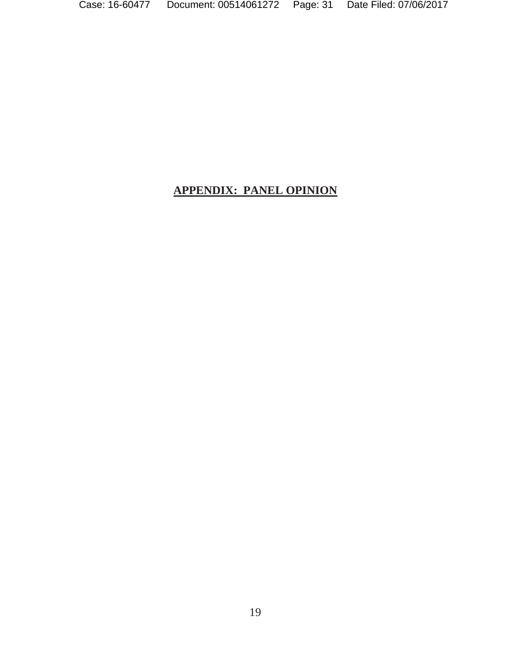# **APPENDIX: PANEL OPINION**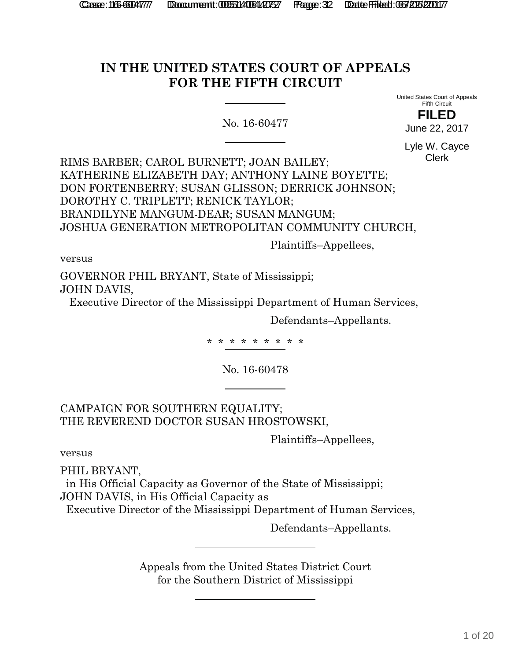# **IN THE UNITED STATES COURT OF APPEALS FOR THE FIFTH CIRCUIT**

No. 16-60477

United States Court of Appeals Fifth Circuit **FILED**

June 22, 2017

Lyle W. Cayce Clerk

RIMS BARBER; CAROL BURNETT; JOAN BAILEY; KATHERINE ELIZABETH DAY; ANTHONY LAINE BOYETTE; DON FORTENBERRY; SUSAN GLISSON; DERRICK JOHNSON; DOROTHY C. TRIPLETT; RENICK TAYLOR; BRANDILYNE MANGUM-DEAR; SUSAN MANGUM; JOSHUA GENERATION METROPOLITAN COMMUNITY CHURCH,

Plaintiffs–Appellees,

versus

GOVERNOR PHIL BRYANT, State of Mississippi; JOHN DAVIS,

Executive Director of the Mississippi Department of Human Services,

Defendants–Appellants.

\* \* \* \* \* \* \* \* \*

No. 16-60478

CAMPAIGN FOR SOUTHERN EQUALITY; THE REVEREND DOCTOR SUSAN HROSTOWSKI,

Plaintiffs–Appellees,

versus

PHIL BRYANT,

 in His Official Capacity as Governor of the State of Mississippi; JOHN DAVIS, in His Official Capacity as

Executive Director of the Mississippi Department of Human Services,

Defendants–Appellants.

Appeals from the United States District Court for the Southern District of Mississippi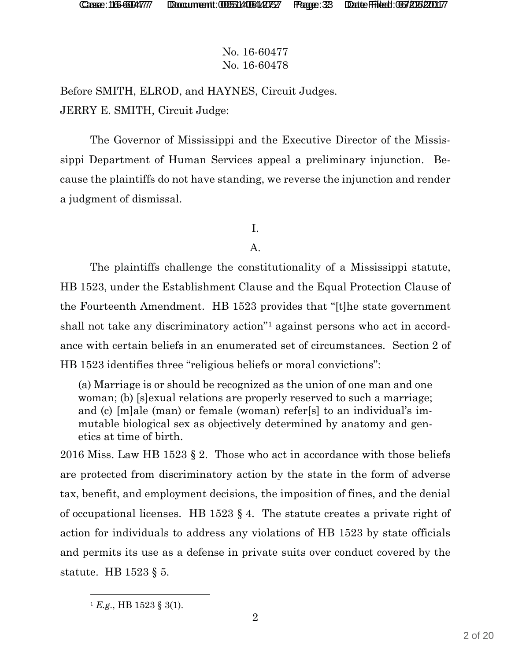Before SMITH, ELROD, and HAYNES, Circuit Judges. JERRY E. SMITH, Circuit Judge:

The Governor of Mississippi and the Executive Director of the Mississippi Department of Human Services appeal a preliminary injunction. Because the plaintiffs do not have standing, we reverse the injunction and render a judgment of dismissal.

# I.

#### A.

The plaintiffs challenge the constitutionality of a Mississippi statute, HB 1523, under the Establishment Clause and the Equal Protection Clause of the Fourteenth Amendment. HB 1523 provides that "[t]he state government shall not take any discriminatory action"1 against persons who act in accordance with certain beliefs in an enumerated set of circumstances. Section 2 of HB 1523 identifies three "religious beliefs or moral convictions":

(a) Marriage is or should be recognized as the union of one man and one woman; (b) [s]exual relations are properly reserved to such a marriage; and (c) [m]ale (man) or female (woman) refer[s] to an individual's immutable biological sex as objectively determined by anatomy and genetics at time of birth.

2016 Miss. Law HB 1523 § 2. Those who act in accordance with those beliefs are protected from discriminatory action by the state in the form of adverse tax, benefit, and employment decisions, the imposition of fines, and the denial of occupational licenses. HB 1523 § 4. The statute creates a private right of action for individuals to address any violations of HB 1523 by state officials and permits its use as a defense in private suits over conduct covered by the statute. HB 1523 § 5.

2

 $^{1}$  *E.g.*, HB 1523 § 3(1).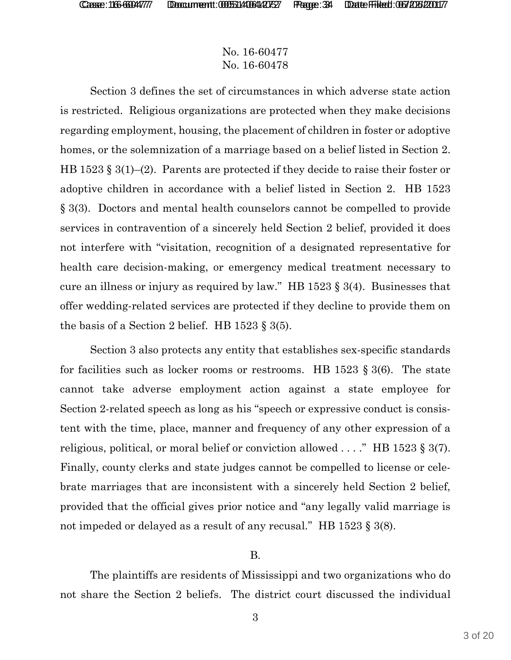Section 3 defines the set of circumstances in which adverse state action is restricted. Religious organizations are protected when they make decisions regarding employment, housing, the placement of children in foster or adoptive homes, or the solemnization of a marriage based on a belief listed in Section 2. HB 1523 § 3(1)–(2). Parents are protected if they decide to raise their foster or adoptive children in accordance with a belief listed in Section 2. HB 1523 § 3(3). Doctors and mental health counselors cannot be compelled to provide services in contravention of a sincerely held Section 2 belief, provided it does not interfere with "visitation, recognition of a designated representative for health care decision-making, or emergency medical treatment necessary to cure an illness or injury as required by law." HB 1523 § 3(4). Businesses that offer wedding-related services are protected if they decline to provide them on the basis of a Section 2 belief. HB  $1523 \text{ } \frac{1}{5} \cdot 3(5)$ .

Section 3 also protects any entity that establishes sex-specific standards for facilities such as locker rooms or restrooms. HB 1523  $\S 3(6)$ . The state cannot take adverse employment action against a state employee for Section 2-related speech as long as his "speech or expressive conduct is consistent with the time, place, manner and frequency of any other expression of a religious, political, or moral belief or conviction allowed . . . ." HB 1523 § 3(7). Finally, county clerks and state judges cannot be compelled to license or celebrate marriages that are inconsistent with a sincerely held Section 2 belief, provided that the official gives prior notice and "any legally valid marriage is not impeded or delayed as a result of any recusal." HB 1523 § 3(8).

#### B.

The plaintiffs are residents of Mississippi and two organizations who do not share the Section 2 beliefs. The district court discussed the individual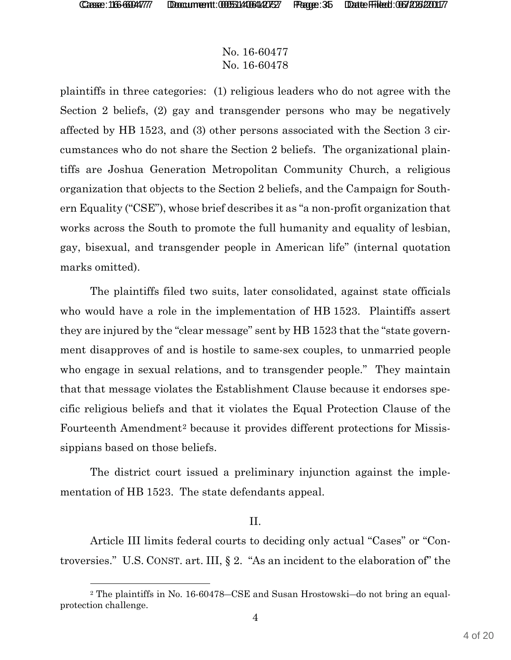l

## No. 16-60477 No. 16-60478

plaintiffs in three categories: (1) religious leaders who do not agree with the Section 2 beliefs, (2) gay and transgender persons who may be negatively affected by HB 1523, and (3) other persons associated with the Section 3 circumstances who do not share the Section 2 beliefs. The organizational plaintiffs are Joshua Generation Metropolitan Community Church, a religious organization that objects to the Section 2 beliefs, and the Campaign for Southern Equality ("CSE"), whose brief describes it as "a non-profit organization that works across the South to promote the full humanity and equality of lesbian, gay, bisexual, and transgender people in American life" (internal quotation marks omitted).

The plaintiffs filed two suits, later consolidated, against state officials who would have a role in the implementation of HB 1523. Plaintiffs assert they are injured by the "clear message" sent by HB 1523 that the "state government disapproves of and is hostile to same-sex couples, to unmarried people who engage in sexual relations, and to transgender people." They maintain that that message violates the Establishment Clause because it endorses specific religious beliefs and that it violates the Equal Protection Clause of the Fourteenth Amendment<sup>2</sup> because it provides different protections for Mississippians based on those beliefs.

The district court issued a preliminary injunction against the implementation of HB 1523. The state defendants appeal.

#### II.

Article III limits federal courts to deciding only actual "Cases" or "Controversies." U.S. CONST. art. III, § 2. "As an incident to the elaboration of" the

 $2$  The plaintiffs in No. 16-60478–CSE and Susan Hrostowski–do not bring an equalprotection challenge.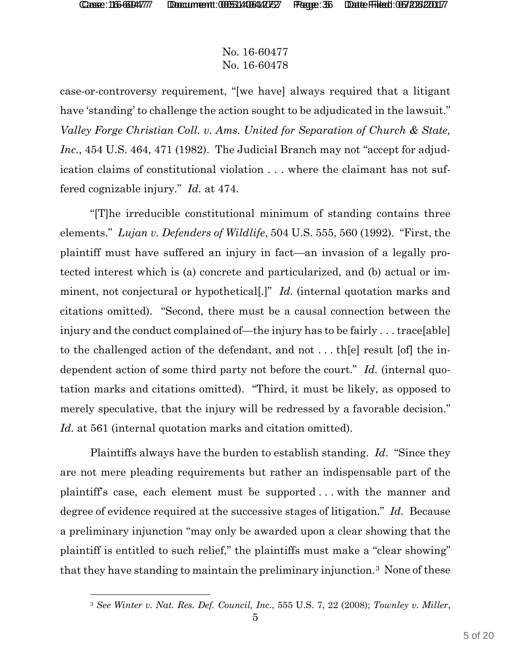### No. 16-60477 No. 16-60478

case-or-controversy requirement, "[we have] always required that a litigant have 'standing' to challenge the action sought to be adjudicated in the lawsuit." *Valley Forge Christian Coll. v. Ams. United for Separation of Church & State, Inc.*, 454 U.S. 464, 471 (1982). The Judicial Branch may not "accept for adjudication claims of constitutional violation . . . where the claimant has not suffered cognizable injury." *Id.* at 474.

"[T]he irreducible constitutional minimum of standing contains three elements." *Lujan v. Defenders of Wildlife*, 504 U.S. 555, 560 (1992). "First, the plaintiff must have suffered an injury in fact—an invasion of a legally protected interest which is (a) concrete and particularized, and (b) actual or imminent, not conjectural or hypothetical[.]" *Id.* (internal quotation marks and citations omitted). "Second, there must be a causal connection between the injury and the conduct complained of—the injury has to be fairly . . . trace[able] to the challenged action of the defendant, and not . . . th[e] result [of] the independent action of some third party not before the court." *Id.* (internal quotation marks and citations omitted). "Third, it must be likely, as opposed to merely speculative, that the injury will be redressed by a favorable decision." *Id.* at 561 (internal quotation marks and citation omitted).

Plaintiffs always have the burden to establish standing. *Id*. "Since they are not mere pleading requirements but rather an indispensable part of the plaintiff's case, each element must be supported . . . with the manner and degree of evidence required at the successive stages of litigation." *Id.* Because a preliminary injunction "may only be awarded upon a clear showing that the plaintiff is entitled to such relief," the plaintiffs must make a "clear showing" that they have standing to maintain the preliminary injunction.3 None of these

<sup>3</sup> *See Winter v. Nat. Res. Def. Council, Inc.*, 555 U.S. 7, 22 (2008); *Townley v. Miller*,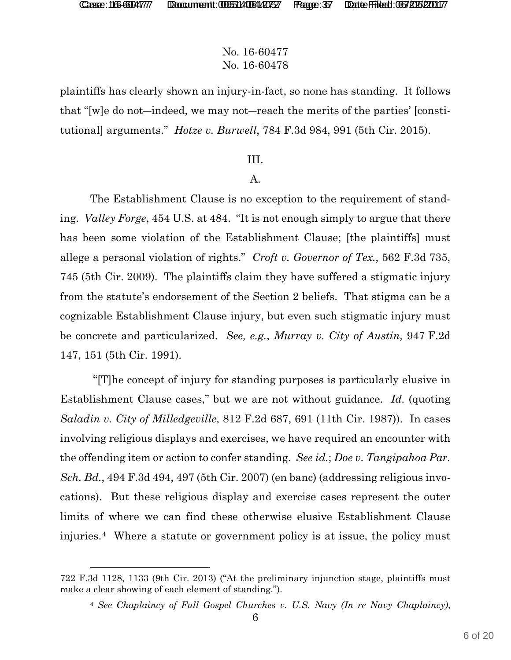$\overline{a}$ 

### No. 16-60477 No. 16-60478

plaintiffs has clearly shown an injury-in-fact, so none has standing. It follows that "[w]e do not-indeed, we may not-reach the merits of the parties' [constitutional] arguments." *Hotze v. Burwell*, 784 F.3d 984, 991 (5th Cir. 2015).

#### III.

#### A.

The Establishment Clause is no exception to the requirement of standing. *Valley Forge*, 454 U.S. at 484. "It is not enough simply to argue that there has been some violation of the Establishment Clause; [the plaintiffs] must allege a personal violation of rights." *Croft v. Governor of Tex.*, 562 F.3d 735, 745 (5th Cir. 2009). The plaintiffs claim they have suffered a stigmatic injury from the statute's endorsement of the Section 2 beliefs. That stigma can be a cognizable Establishment Clause injury, but even such stigmatic injury must be concrete and particularized. *See, e.g.*, *Murray v. City of Austin,* 947 F.2d 147, 151 (5th Cir. 1991).

 "[T]he concept of injury for standing purposes is particularly elusive in Establishment Clause cases," but we are not without guidance. *Id.* (quoting *Saladin v. City of Milledgeville*, 812 F.2d 687, 691 (11th Cir. 1987)). In cases involving religious displays and exercises, we have required an encounter with the offending item or action to confer standing. *See id.*; *Doe v. Tangipahoa Par. Sch. Bd.*, 494 F.3d 494, 497 (5th Cir. 2007) (en banc) (addressing religious invocations). But these religious display and exercise cases represent the outer limits of where we can find these otherwise elusive Establishment Clause injuries.4 Where a statute or government policy is at issue, the policy must

<sup>722</sup> F.3d 1128, 1133 (9th Cir. 2013) ("At the preliminary injunction stage, plaintiffs must make a clear showing of each element of standing.").

<sup>4</sup> *See Chaplaincy of Full Gospel Churches v. U.S. Navy (In re Navy Chaplaincy)*,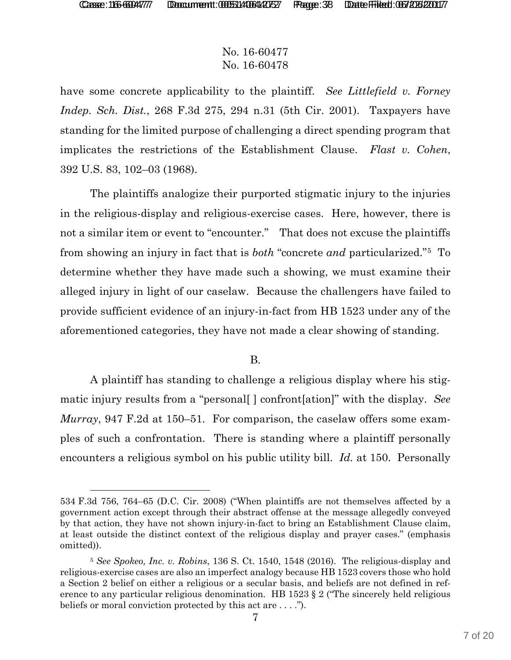## No. 16-60477 No. 16-60478

have some concrete applicability to the plaintiff. *See Littlefield v. Forney Indep. Sch. Dist.*, 268 F.3d 275, 294 n.31 (5th Cir. 2001). Taxpayers have standing for the limited purpose of challenging a direct spending program that implicates the restrictions of the Establishment Clause. *Flast v. Cohen*, 392 U.S. 83, 102–03 (1968).

The plaintiffs analogize their purported stigmatic injury to the injuries in the religious-display and religious-exercise cases. Here, however, there is not a similar item or event to "encounter." That does not excuse the plaintiffs from showing an injury in fact that is *both* "concrete *and* particularized."5 To determine whether they have made such a showing, we must examine their alleged injury in light of our caselaw. Because the challengers have failed to provide sufficient evidence of an injury-in-fact from HB 1523 under any of the aforementioned categories, they have not made a clear showing of standing.

#### B.

A plaintiff has standing to challenge a religious display where his stigmatic injury results from a "personal[ ] confront[ation]" with the display. *See Murray*, 947 F.2d at 150–51. For comparison, the caselaw offers some examples of such a confrontation. There is standing where a plaintiff personally encounters a religious symbol on his public utility bill. *Id.* at 150. Personally

<sup>534</sup> F.3d 756, 764–65 (D.C. Cir. 2008) ("When plaintiffs are not themselves affected by a government action except through their abstract offense at the message allegedly conveyed by that action, they have not shown injury-in-fact to bring an Establishment Clause claim, at least outside the distinct context of the religious display and prayer cases." (emphasis omitted)).

<sup>5</sup> *See Spokeo, Inc. v. Robins*, 136 S. Ct. 1540, 1548 (2016). The religious-display and religious-exercise cases are also an imperfect analogy because HB 1523 covers those who hold a Section 2 belief on either a religious or a secular basis, and beliefs are not defined in reference to any particular religious denomination. HB 1523 § 2 ("The sincerely held religious beliefs or moral conviction protected by this act are . . . .").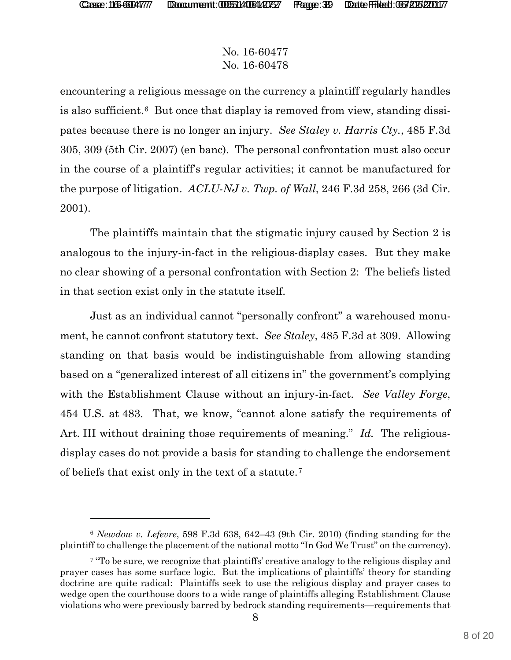# No. 16-60477 No. 16-60478

encountering a religious message on the currency a plaintiff regularly handles is also sufficient.6 But once that display is removed from view, standing dissipates because there is no longer an injury. *See Staley v. Harris Cty.*, 485 F.3d 305, 309 (5th Cir. 2007) (en banc). The personal confrontation must also occur in the course of a plaintiff's regular activities; it cannot be manufactured for the purpose of litigation. *ACLU-NJ v. Twp. of Wall*, 246 F.3d 258, 266 (3d Cir. 2001).

The plaintiffs maintain that the stigmatic injury caused by Section 2 is analogous to the injury-in-fact in the religious-display cases. But they make no clear showing of a personal confrontation with Section 2: The beliefs listed in that section exist only in the statute itself.

Just as an individual cannot "personally confront" a warehoused monument, he cannot confront statutory text. *See Staley*, 485 F.3d at 309. Allowing standing on that basis would be indistinguishable from allowing standing based on a "generalized interest of all citizens in" the government's complying with the Establishment Clause without an injury-in-fact. *See Valley Forge*, 454 U.S. at 483. That, we know, "cannot alone satisfy the requirements of Art. III without draining those requirements of meaning." *Id.* The religiousdisplay cases do not provide a basis for standing to challenge the endorsement of beliefs that exist only in the text of a statute.7

<sup>6</sup> *Newdow v. Lefevre*, 598 F.3d 638, 642–43 (9th Cir. 2010) (finding standing for the plaintiff to challenge the placement of the national motto "In God We Trust" on the currency).

<sup>&</sup>lt;sup>7</sup> "To be sure, we recognize that plaintiffs' creative analogy to the religious display and prayer cases has some surface logic. But the implications of plaintiffs' theory for standing doctrine are quite radical: Plaintiffs seek to use the religious display and prayer cases to wedge open the courthouse doors to a wide range of plaintiffs alleging Establishment Clause violations who were previously barred by bedrock standing requirements—requirements that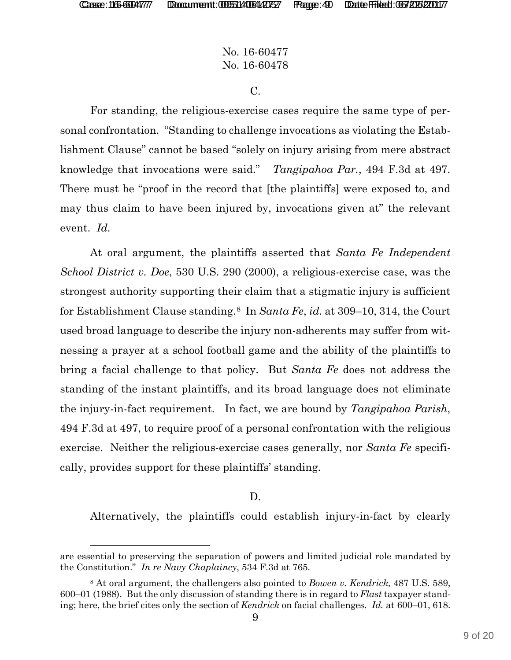-

## No. 16-60477 No. 16-60478

C.

For standing, the religious-exercise cases require the same type of personal confrontation. "Standing to challenge invocations as violating the Establishment Clause" cannot be based "solely on injury arising from mere abstract knowledge that invocations were said." *Tangipahoa Par.*, 494 F.3d at 497. There must be "proof in the record that [the plaintiffs] were exposed to, and may thus claim to have been injured by, invocations given at" the relevant event. *Id.*

At oral argument, the plaintiffs asserted that *Santa Fe Independent School District v. Doe*, 530 U.S. 290 (2000), a religious-exercise case, was the strongest authority supporting their claim that a stigmatic injury is sufficient for Establishment Clause standing.8 In *Santa Fe*, *id.* at 309–10, 314, the Court used broad language to describe the injury non-adherents may suffer from witnessing a prayer at a school football game and the ability of the plaintiffs to bring a facial challenge to that policy. But *Santa Fe* does not address the standing of the instant plaintiffs, and its broad language does not eliminate the injury-in-fact requirement. In fact, we are bound by *Tangipahoa Parish*, 494 F.3d at 497, to require proof of a personal confrontation with the religious exercise. Neither the religious-exercise cases generally, nor *Santa Fe* specifically, provides support for these plaintiffs' standing.

#### D.

Alternatively, the plaintiffs could establish injury-in-fact by clearly

are essential to preserving the separation of powers and limited judicial role mandated by the Constitution." *In re Navy Chaplaincy*, 534 F.3d at 765.

<sup>8</sup> At oral argument, the challengers also pointed to *Bowen v. Kendrick*, 487 U.S. 589, 600–01 (1988). But the only discussion of standing there is in regard to *Flast* taxpayer standing; here, the brief cites only the section of *Kendrick* on facial challenges. *Id.* at 600–01, 618.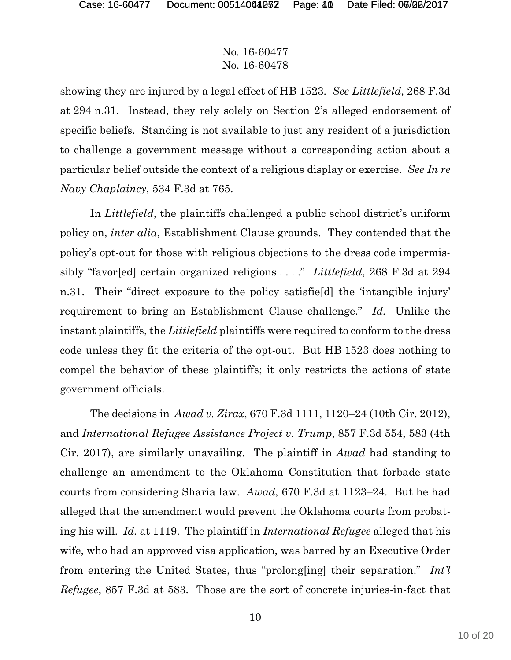showing they are injured by a legal effect of HB 1523. *See Littlefield*, 268 F.3d at 294 n.31. Instead, they rely solely on Section 2's alleged endorsement of specific beliefs. Standing is not available to just any resident of a jurisdiction to challenge a government message without a corresponding action about a particular belief outside the context of a religious display or exercise. *See In re Navy Chaplaincy*, 534 F.3d at 765.

In *Littlefield*, the plaintiffs challenged a public school district's uniform policy on, *inter alia*, Establishment Clause grounds. They contended that the policy's opt-out for those with religious objections to the dress code impermissibly "favor[ed] certain organized religions . . . ." *Littlefield*, 268 F.3d at 294 n.31. Their "direct exposure to the policy satisfie[d] the 'intangible injury' requirement to bring an Establishment Clause challenge." *Id.* Unlike the instant plaintiffs, the *Littlefield* plaintiffs were required to conform to the dress code unless they fit the criteria of the opt-out. But HB 1523 does nothing to compel the behavior of these plaintiffs; it only restricts the actions of state government officials.

The decisions in *Awad v. Zirax*, 670 F.3d 1111, 1120–24 (10th Cir. 2012), and *International Refugee Assistance Project v. Trump*, 857 F.3d 554, 583 (4th Cir. 2017), are similarly unavailing. The plaintiff in *Awad* had standing to challenge an amendment to the Oklahoma Constitution that forbade state courts from considering Sharia law. *Awad*, 670 F.3d at 1123–24. But he had alleged that the amendment would prevent the Oklahoma courts from probating his will. *Id.* at 1119. The plaintiff in *International Refugee* alleged that his wife, who had an approved visa application, was barred by an Executive Order from entering the United States, thus "prolong[ing] their separation." *Int'l Refugee*, 857 F.3d at 583. Those are the sort of concrete injuries-in-fact that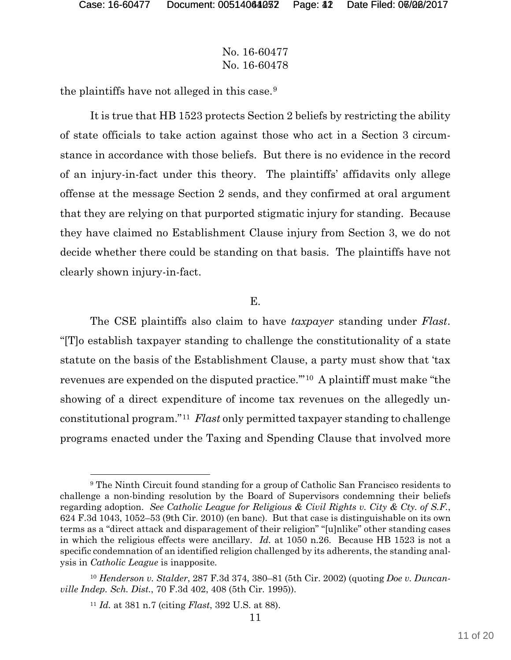### No. 16-60477 No. 16-60478

the plaintiffs have not alleged in this case.9

It is true that HB 1523 protects Section 2 beliefs by restricting the ability of state officials to take action against those who act in a Section 3 circumstance in accordance with those beliefs. But there is no evidence in the record of an injury-in-fact under this theory. The plaintiffs' affidavits only allege offense at the message Section 2 sends, and they confirmed at oral argument that they are relying on that purported stigmatic injury for standing. Because they have claimed no Establishment Clause injury from Section 3, we do not decide whether there could be standing on that basis. The plaintiffs have not clearly shown injury-in-fact.

#### E.

The CSE plaintiffs also claim to have *taxpayer* standing under *Flast*. "[T]o establish taxpayer standing to challenge the constitutionality of a state statute on the basis of the Establishment Clause, a party must show that 'tax revenues are expended on the disputed practice.'"10 A plaintiff must make "the showing of a direct expenditure of income tax revenues on the allegedly unconstitutional program."11 *Flast* only permitted taxpayer standing to challenge programs enacted under the Taxing and Spending Clause that involved more

<sup>&</sup>lt;sup>9</sup> The Ninth Circuit found standing for a group of Catholic San Francisco residents to challenge a non-binding resolution by the Board of Supervisors condemning their beliefs regarding adoption. *See Catholic League for Religious & Civil Rights v. City & Cty. of S.F.*, 624 F.3d 1043, 1052–53 (9th Cir. 2010) (en banc). But that case is distinguishable on its own terms as a "direct attack and disparagement of their religion" "[u]nlike" other standing cases in which the religious effects were ancillary. *Id.* at 1050 n.26. Because HB 1523 is not a specific condemnation of an identified religion challenged by its adherents, the standing analysis in *Catholic League* is inapposite.

<sup>10</sup> *Henderson v. Stalder*, 287 F.3d 374, 380–81 (5th Cir. 2002) (quoting *Doe v. Duncanville Indep. Sch. Dist.*, 70 F.3d 402, 408 (5th Cir. 1995)).

<sup>11</sup> *Id.* at 381 n.7 (citing *Flast*, 392 U.S. at 88).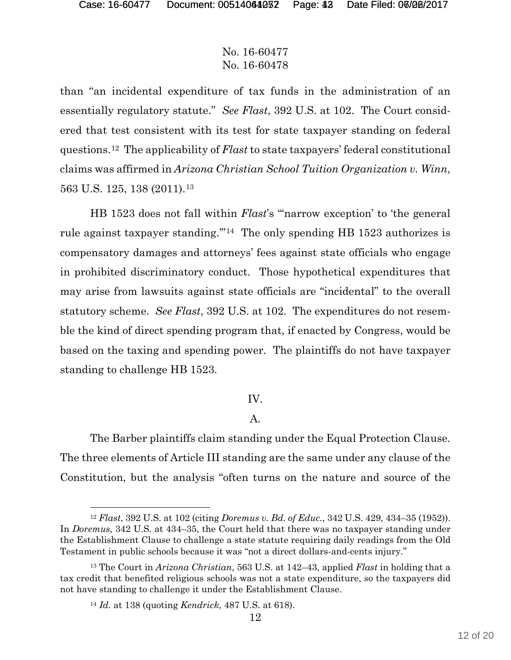than "an incidental expenditure of tax funds in the administration of an essentially regulatory statute." *See Flast*, 392 U.S. at 102. The Court considered that test consistent with its test for state taxpayer standing on federal questions.12 The applicability of *Flast* to state taxpayers' federal constitutional claims was affirmed in *Arizona Christian School Tuition Organization v. Winn*, 563 U.S. 125, 138 (2011).13

HB 1523 does not fall within *Flast*'s "'narrow exception' to 'the general rule against taxpayer standing.'"14 The only spending HB 1523 authorizes is compensatory damages and attorneys' fees against state officials who engage in prohibited discriminatory conduct. Those hypothetical expenditures that may arise from lawsuits against state officials are "incidental" to the overall statutory scheme. *See Flast*, 392 U.S. at 102. The expenditures do not resemble the kind of direct spending program that, if enacted by Congress, would be based on the taxing and spending power. The plaintiffs do not have taxpayer standing to challenge HB 1523.

#### IV.

#### A.

The Barber plaintiffs claim standing under the Equal Protection Clause. The three elements of Article III standing are the same under any clause of the Constitution, but the analysis "often turns on the nature and source of the

<sup>12</sup> *Flast*, 392 U.S. at 102 (citing *Doremus v. Bd. of Educ.*, 342 U.S. 429, 434–35 (1952)). In *Doremus*, 342 U.S. at 434–35, the Court held that there was no taxpayer standing under the Establishment Clause to challenge a state statute requiring daily readings from the Old Testament in public schools because it was "not a direct dollars-and-cents injury."

<sup>13</sup> The Court in *Arizona Christian*, 563 U.S. at 142–43, applied *Flast* in holding that a tax credit that benefited religious schools was not a state expenditure, so the taxpayers did not have standing to challenge it under the Establishment Clause.

<sup>14</sup> *Id.* at 138 (quoting *Kendrick*, 487 U.S. at 618).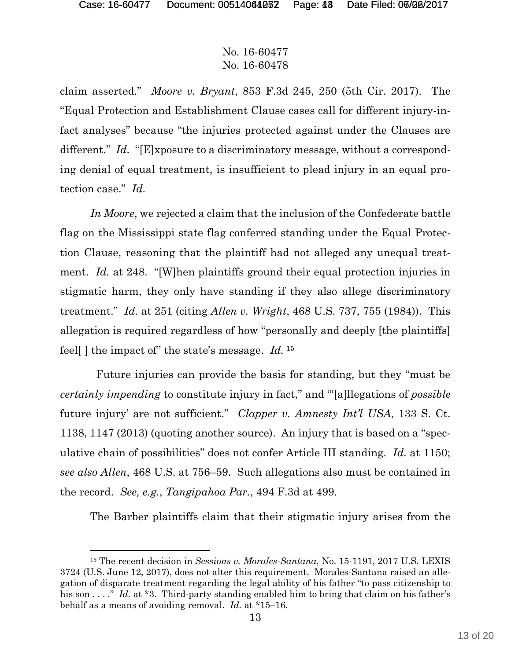claim asserted." *Moore v. Bryant*, 853 F.3d 245, 250 (5th Cir. 2017). The "Equal Protection and Establishment Clause cases call for different injury-infact analyses" because "the injuries protected against under the Clauses are different." *Id.* "[E]xposure to a discriminatory message, without a corresponding denial of equal treatment, is insufficient to plead injury in an equal protection case." *Id.*

*In Moore*, we rejected a claim that the inclusion of the Confederate battle flag on the Mississippi state flag conferred standing under the Equal Protection Clause, reasoning that the plaintiff had not alleged any unequal treatment. *Id.* at 248. "[W]hen plaintiffs ground their equal protection injuries in stigmatic harm, they only have standing if they also allege discriminatory treatment." *Id.* at 251 (citing *Allen v. Wright*, 468 U.S. 737, 755 (1984)). This allegation is required regardless of how "personally and deeply [the plaintiffs] feel[ ] the impact of" the state's message. *Id.* 15

 Future injuries can provide the basis for standing, but they "must be *certainly impending* to constitute injury in fact," and "'[a]llegations of *possible* future injury' are not sufficient." *Clapper v. Amnesty Int'l USA*, 133 S. Ct. 1138, 1147 (2013) (quoting another source). An injury that is based on a "speculative chain of possibilities" does not confer Article III standing. *Id.* at 1150; *see also Allen*, 468 U.S. at 756–59. Such allegations also must be contained in the record. *See, e.g.*, *Tangipahoa Par.*, 494 F.3d at 499.

The Barber plaintiffs claim that their stigmatic injury arises from the

l 15 The recent decision in *Sessions v. Morales-Santana*, No. 15-1191, 2017 U.S. LEXIS 3724 (U.S. June 12, 2017), does not alter this requirement. Morales-Santana raised an allegation of disparate treatment regarding the legal ability of his father "to pass citizenship to his son . . . ." *Id.* at \*3. Third-party standing enabled him to bring that claim on his father's behalf as a means of avoiding removal. *Id.* at \*15–16.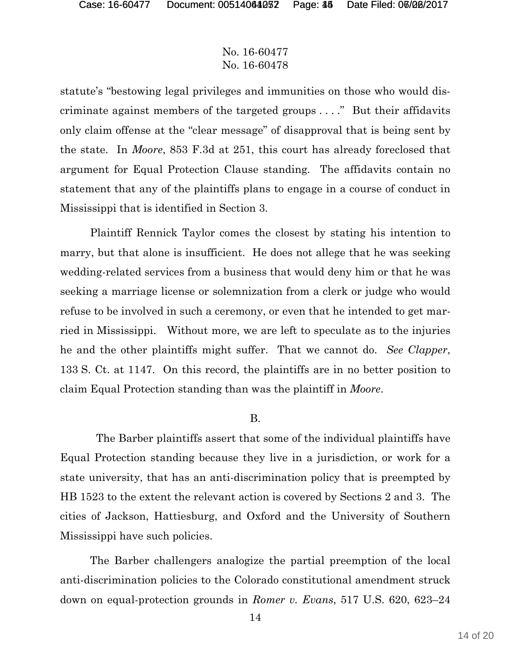statute's "bestowing legal privileges and immunities on those who would discriminate against members of the targeted groups . . . ." But their affidavits only claim offense at the "clear message" of disapproval that is being sent by the state. In *Moore*, 853 F.3d at 251, this court has already foreclosed that argument for Equal Protection Clause standing. The affidavits contain no statement that any of the plaintiffs plans to engage in a course of conduct in Mississippi that is identified in Section 3.

Plaintiff Rennick Taylor comes the closest by stating his intention to marry, but that alone is insufficient. He does not allege that he was seeking wedding-related services from a business that would deny him or that he was seeking a marriage license or solemnization from a clerk or judge who would refuse to be involved in such a ceremony, or even that he intended to get married in Mississippi. Without more, we are left to speculate as to the injuries he and the other plaintiffs might suffer. That we cannot do. *See Clapper*, 133 S. Ct. at 1147. On this record, the plaintiffs are in no better position to claim Equal Protection standing than was the plaintiff in *Moore*.

#### B.

 The Barber plaintiffs assert that some of the individual plaintiffs have Equal Protection standing because they live in a jurisdiction, or work for a state university, that has an anti-discrimination policy that is preempted by HB 1523 to the extent the relevant action is covered by Sections 2 and 3. The cities of Jackson, Hattiesburg, and Oxford and the University of Southern Mississippi have such policies.

The Barber challengers analogize the partial preemption of the local anti-discrimination policies to the Colorado constitutional amendment struck down on equal-protection grounds in *Romer v. Evans*, 517 U.S. 620, 623–24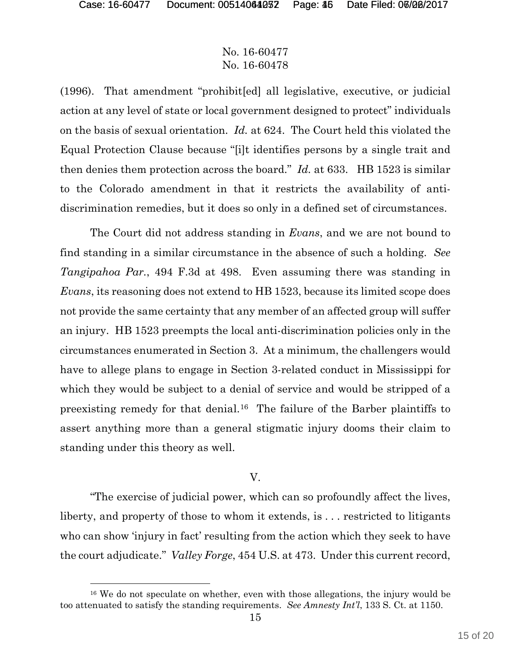l

## No. 16-60477 No. 16-60478

(1996). That amendment "prohibit[ed] all legislative, executive, or judicial action at any level of state or local government designed to protect" individuals on the basis of sexual orientation. *Id.* at 624. The Court held this violated the Equal Protection Clause because "[i]t identifies persons by a single trait and then denies them protection across the board." *Id.* at 633. HB 1523 is similar to the Colorado amendment in that it restricts the availability of antidiscrimination remedies, but it does so only in a defined set of circumstances.

The Court did not address standing in *Evans*, and we are not bound to find standing in a similar circumstance in the absence of such a holding. *See Tangipahoa Par.*, 494 F.3d at 498. Even assuming there was standing in *Evans*, its reasoning does not extend to HB 1523, because its limited scope does not provide the same certainty that any member of an affected group will suffer an injury. HB 1523 preempts the local anti-discrimination policies only in the circumstances enumerated in Section 3. At a minimum, the challengers would have to allege plans to engage in Section 3-related conduct in Mississippi for which they would be subject to a denial of service and would be stripped of a preexisting remedy for that denial.16 The failure of the Barber plaintiffs to assert anything more than a general stigmatic injury dooms their claim to standing under this theory as well.

#### V.

"The exercise of judicial power, which can so profoundly affect the lives, liberty, and property of those to whom it extends, is . . . restricted to litigants who can show 'injury in fact' resulting from the action which they seek to have the court adjudicate." *Valley Forge*, 454 U.S. at 473. Under this current record,

<sup>16</sup> We do not speculate on whether, even with those allegations, the injury would be too attenuated to satisfy the standing requirements. *See Amnesty Int'l*, 133 S. Ct. at 1150.